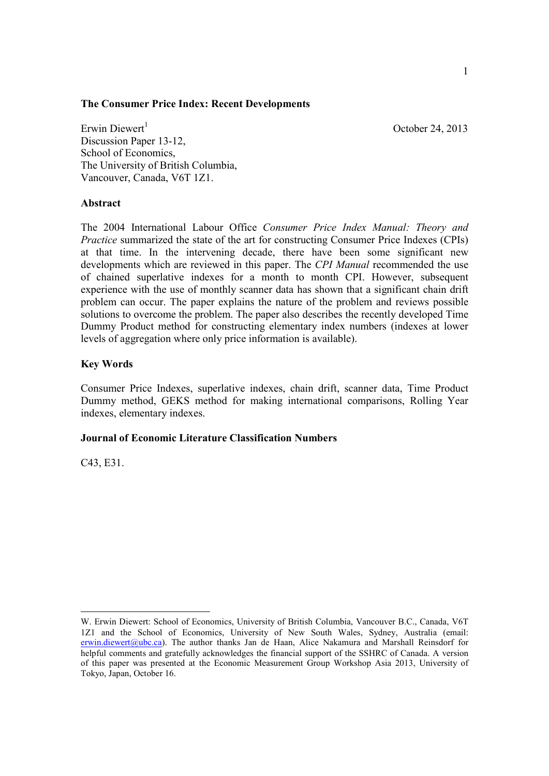### **The Consumer Price Index: Recent Developments**

October 24, 2013

Erwin Diewert Discussion Paper 13-12, School of Economics, The University of British Columbia, Vancouver, Canada, V6T 1Z1.

## **Abstract**

The 2004 International Labour Office *Consumer Price Index Manual: Theory and Practice* summarized the state of the art for constructing Consumer Price Indexes (CPIs) at that time. In the intervening decade, there have been some significant new developments which are reviewed in this paper. The *CPI Manual* recommended the use of chained superlative indexes for a month to month CPI. However, subsequent experience with the use of monthly scanner data has shown that a significant chain drift problem can occur. The paper explains the nature of the problem and reviews possible solutions to overcome the problem. The paper also describes the recently developed Time Dummy Product method for constructing elementary index numbers (indexes at lower levels of aggregation where only price information is available).

# **Key Words**

Consumer Price Indexes, superlative indexes, chain drift, scanner data, Time Product Dummy method, GEKS method for making international comparisons, Rolling Year indexes, elementary indexes.

# **Journal of Economic Literature Classification Numbers**

C43, E31.

W. Erwin Diewert: School of Economics, University of British Columbia, Vancouver B.C., Canada, V6T 1Z1 and the School of Economics, University of New South Wales, Sydney, Australia (email: erwin.diewert@ubc.ca). The author thanks Jan de Haan, Alice Nakamura and Marshall Reinsdorf for helpful comments and gratefully acknowledges the financial support of the SSHRC of Canada. A version of this paper was presented at the Economic Measurement Group Workshop Asia 2013, University of Tokyo, Japan, October 16.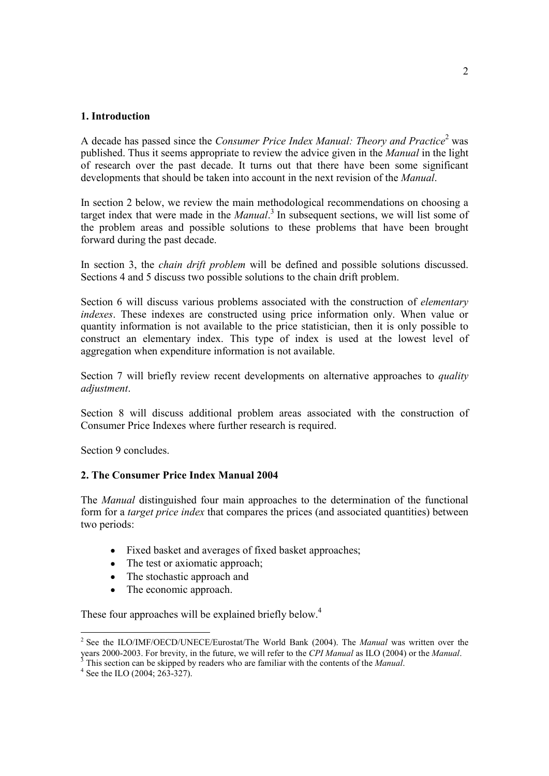## **1. Introduction**

A decade has passed since the *Consumer Price Index Manual: Theory and Practice* 2 was published. Thus it seems appropriate to review the advice given in the *Manual* in the light of research over the past decade. It turns out that there have been some significant developments that should be taken into account in the next revision of the *Manual*.

In section 2 below, we review the main methodological recommendations on choosing a target index that were made in the *Manual*. 3 In subsequent sections, we will list some of the problem areas and possible solutions to these problems that have been brought forward during the past decade.

In section 3, the *chain drift problem* will be defined and possible solutions discussed. Sections 4 and 5 discuss two possible solutions to the chain drift problem.

Section 6 will discuss various problems associated with the construction of *elementary indexes*. These indexes are constructed using price information only. When value or quantity information is not available to the price statistician, then it is only possible to construct an elementary index. This type of index is used at the lowest level of aggregation when expenditure information is not available.

Section 7 will briefly review recent developments on alternative approaches to *quality adjustment*.

Section 8 will discuss additional problem areas associated with the construction of Consumer Price Indexes where further research is required.

Section 9 concludes.

# **2. The Consumer Price Index Manual 2004**

The *Manual* distinguished four main approaches to the determination of the functional form for a *target price index* that compares the prices (and associated quantities) between two periods:

- Fixed basket and averages of fixed basket approaches;
- The test or axiomatic approach;
- The stochastic approach and
- The economic approach.

These four approaches will be explained briefly below.<sup>4</sup>

<sup>2</sup> See the ILO/IMF/OECD/UNECE/Eurostat/The World Bank (2004). The *Manual* was written over the years 2000-2003. For brevity, in the future, we will refer to the *CPI Manual* as ILO (2004) or the *Manual*.<sup>3</sup><br>This section are lead in the state of the *Manual* as ILO (2004) or the *Manual*.

<sup>3</sup> This section can be skipped by readers who are familiar with the contents of the *Manual*.

 $4$  See the ILO (2004; 263-327).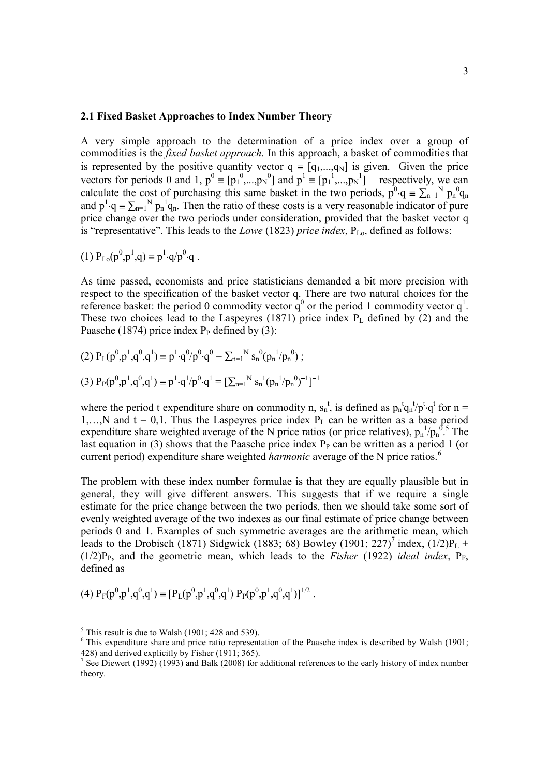#### **2.1 Fixed Basket Approaches to Index Number Theory**

A very simple approach to the determination of a price index over a group of commodities is the *fixed basket approach*. In this approach, a basket of commodities that is represented by the positive quantity vector  $q = [q_1,...,q_N]$  is given. Given the price vectors for periods 0 and 1,  $p^0 \equiv [p_1^0, ..., p_N^0]$  and  $p^1 \equiv [p_1^1, ..., p_N^1]$  respectively, we can calculate the cost of purchasing this same basket in the two periods,  $p^{0} \cdot q = \sum_{n=1}^{N} p_{n}^{0} q_{n}$ and  $p^1 \cdot q = \sum_{n=1}^{N} p_n^1 q_n$ . Then the ratio of these costs is a very reasonable indicator of pure price change over the two periods under consideration, provided that the basket vector q is "representative". This leads to the *Lowe* (1823) *price index*, P<sub>Lo</sub>, defined as follows:

(1) 
$$
P_{Lo}(p^0, p^1, q) \equiv p^1 \cdot q/p^0 \cdot q
$$
.

As time passed, economists and price statisticians demanded a bit more precision with respect to the specification of the basket vector q. There are two natural choices for the reference basket: the period 0 commodity vector  $q^0$  or the period 1 commodity vector  $q^1$ . These two choices lead to the Laspeyres  $(1871)$  price index  $P<sub>L</sub>$  defined by  $(2)$  and the Paasche (1874) price index  $P_P$  defined by (3):

(2) 
$$
P_L(p^0, p^1, q^0, q^1) \equiv p^1 \cdot q^0 / p^0 \cdot q^0 = \sum_{n=1}^N s_n^0 (p_n^1 / p_n^0);
$$
  
(3)  $P_P(p^0, p^1, q^0, q^1) \equiv p^1 \cdot q^1 / p^0 \cdot q^1 = [\sum_{n=1}^N s_n^1 (p_n^1 / p_n^0)^{-1}]^{-1}$ 

where the period t expenditure share on commodity n,  $s_n^t$ , is defined as  $p_n^t q_n^t/p^t \cdot q^t$  for  $n =$ 1,..., N and  $t = 0,1$ . Thus the Laspeyres price index  $P<sub>L</sub>$  can be written as a base period expenditure share weighted average of the N price ratios (or price relatives),  $p_n^{-1}/p_n^{\;0.5}$  The last equation in (3) shows that the Paasche price index  $P<sub>P</sub>$  can be written as a period 1 (or current period) expenditure share weighted *harmonic* average of the N price ratios. 6

The problem with these index number formulae is that they are equally plausible but in general, they will give different answers. This suggests that if we require a single estimate for the price change between the two periods, then we should take some sort of evenly weighted average of the two indexes as our final estimate of price change between periods 0 and 1. Examples of such symmetric averages are the arithmetic mean, which leads to the Drobisch (1871) Sidgwick (1883; 68) Bowley (1901; 227)<sup>7</sup> index, (1/2)P<sub>L</sub> +  $(1/2)P_P$ , and the geometric mean, which leads to the *Fisher* (1922) *ideal index*,  $P_F$ , defined as

(4) 
$$
P_F(p^0, p^1, q^0, q^1) \equiv [P_L(p^0, p^1, q^0, q^1) P_P(p^0, p^1, q^0, q^1)]^{1/2}
$$
.

 $<sup>5</sup>$  This result is due to Walsh (1901; 428 and 539).</sup>

 $6$  This expenditure share and price ratio representation of the Paasche index is described by Walsh (1901; 428) and derived explicitly by Fisher (1911; 365).

<sup>&</sup>lt;sup>7</sup> See Diewert (1992) (1993) and Balk (2008) for additional references to the early history of index number theory.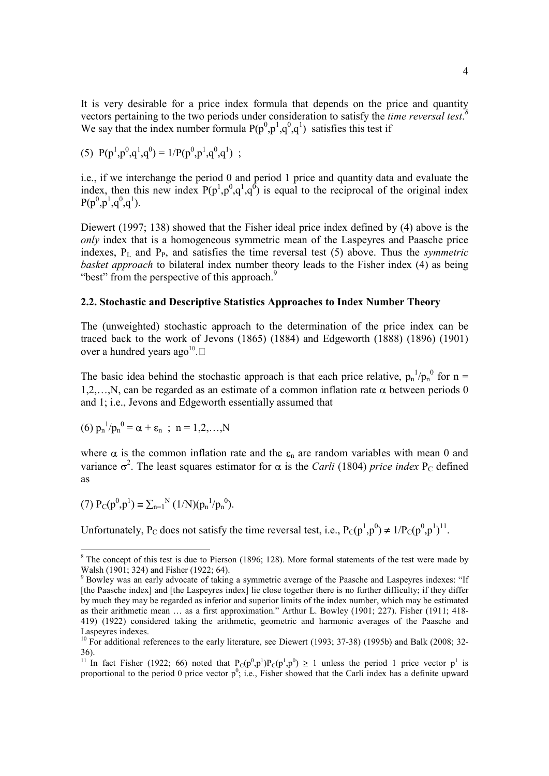It is very desirable for a price index formula that depends on the price and quantity vectors pertaining to the two periods under consideration to satisfy the *time reversal test*. *8* We say that the index number formula  $P(p^0, p^1, q^0, q^1)$  satisfies this test if

(5) 
$$
P(p^1, p^0, q^1, q^0) = 1/P(p^0, p^1, q^0, q^1)
$$
;

i.e., if we interchange the period 0 and period 1 price and quantity data and evaluate the index, then this new index  $P(p^1, p^0, q^1, q^0)$  is equal to the reciprocal of the original index  $P(p^0, p^1, q^0, q^1).$ 

Diewert (1997; 138) showed that the Fisher ideal price index defined by (4) above is the *only* index that is a homogeneous symmetric mean of the Laspeyres and Paasche price indexes,  $P_L$  and  $P_P$ , and satisfies the time reversal test (5) above. Thus the *symmetric basket approach* to bilateral index number theory leads to the Fisher index (4) as being "best" from the perspective of this approach.<sup>9</sup>

#### **2.2. Stochastic and Descriptive Statistics Approaches to Index Number Theory**

The (unweighted) stochastic approach to the determination of the price index can be traced back to the work of Jevons (1865) (1884) and Edgeworth (1888) (1896) (1901) over a hundred years ago<sup>10</sup>.

The basic idea behind the stochastic approach is that each price relative,  $p_n^{-1}/p_n^0$  for n = 1,2,..., N, can be regarded as an estimate of a common inflation rate  $\alpha$  between periods 0 and 1; i.e., Jevons and Edgeworth essentially assumed that

(6) 
$$
p_n^{-1}/p_n^0 = \alpha + \varepsilon_n
$$
; n = 1,2,...,N

where  $\alpha$  is the common inflation rate and the  $\varepsilon_n$  are random variables with mean 0 and variance  $\sigma^2$ . The least squares estimator for  $\alpha$  is the *Carli* (1804) *price index* P<sub>C</sub> defined as

(7) 
$$
P_C(p^0, p^1) \equiv \sum_{n=1}^N (1/N)(p_n^{-1}/p_n^{-0}).
$$

Unfortunately, P<sub>C</sub> does not satisfy the time reversal test, i.e.,  $P_C(p^1, p^0) \neq 1/P_C(p^0, p^1)^{11}$ .

<sup>&</sup>lt;sup>8</sup> The concept of this test is due to Pierson (1896; 128). More formal statements of the test were made by Walsh (1901; 324) and Fisher (1922; 64).

<sup>&</sup>lt;sup>9</sup> Bowley was an early advocate of taking a symmetric average of the Paasche and Laspeyres indexes: "If [the Paasche index] and [the Laspeyres index] lie close together there is no further difficulty; if they differ by much they may be regarded as inferior and superior limits of the index number, which may be estimated as their arithmetic mean … as a first approximation." Arthur L. Bowley (1901; 227). Fisher (1911; 418- 419) (1922) considered taking the arithmetic, geometric and harmonic averages of the Paasche and Laspeyres indexes.

<sup>&</sup>lt;sup>10</sup> For additional references to the early literature, see Diewert (1993; 37-38) (1995b) and Balk (2008; 32-36).

<sup>&</sup>lt;sup>11</sup> In fact Fisher (1922; 66) noted that  $P_C(p^0, p^1)P_C(p^1, p^0) \ge 1$  unless the period 1 price vector  $p^1$  is proportional to the period 0 price vector  $p^0$ ; i.e., Fisher showed that the Carli index has a definite upward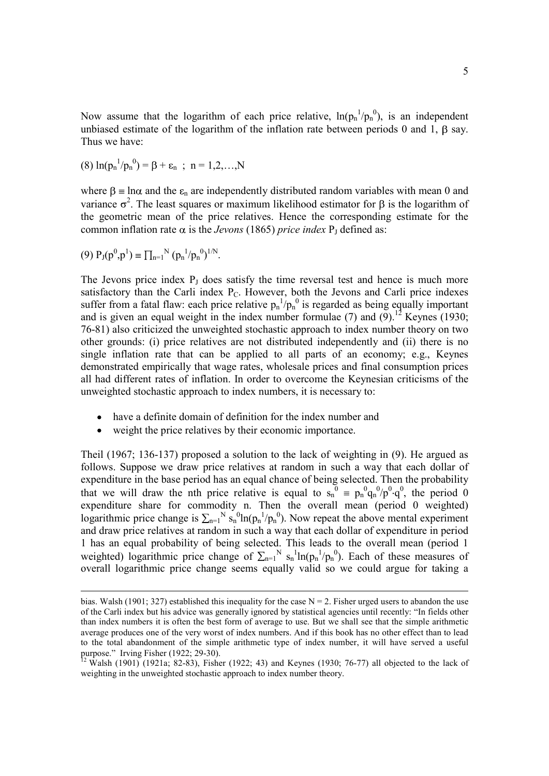Now assume that the logarithm of each price relative,  $ln(p_n^{-1}/p_n^{-0})$ , is an independent unbiased estimate of the logarithm of the inflation rate between periods 0 and 1,  $\beta$  say. Thus we have:

(8) 
$$
\ln(p_n^{-1}/p_n^0) = \beta + \varepsilon_n
$$
; n = 1,2,...,N

where  $\beta$  = ln $\alpha$  and the  $\varepsilon_n$  are independently distributed random variables with mean 0 and variance  $\sigma^2$ . The least squares or maximum likelihood estimator for  $\beta$  is the logarithm of the geometric mean of the price relatives. Hence the corresponding estimate for the common inflation rate  $\alpha$  is the *Jevons* (1865) *price index*  $P_1$  defined as:

$$
(9) P_J(p^0, p^1) \equiv \prod_{n=1}^N (p_n^1/p_n^0)^{1/N}.
$$

The Jevons price index  $P_J$  does satisfy the time reversal test and hence is much more satisfactory than the Carli index P<sub>C</sub>. However, both the Jevons and Carli price indexes suffer from a fatal flaw: each price relative  $p_n^{-1}/p_n^{-0}$  is regarded as being equally important and is given an equal weight in the index number formulae (7) and  $(9)$ .<sup>12</sup> Keynes (1930; 76-81) also criticized the unweighted stochastic approach to index number theory on two other grounds: (i) price relatives are not distributed independently and (ii) there is no single inflation rate that can be applied to all parts of an economy; e.g., Keynes demonstrated empirically that wage rates, wholesale prices and final consumption prices all had different rates of inflation. In order to overcome the Keynesian criticisms of the unweighted stochastic approach to index numbers, it is necessary to:

- have a definite domain of definition for the index number and
- weight the price relatives by their economic importance.  $\bullet$

Theil (1967; 136-137) proposed a solution to the lack of weighting in (9). He argued as follows. Suppose we draw price relatives at random in such a way that each dollar of expenditure in the base period has an equal chance of being selected. Then the probability that we will draw the nth price relative is equal to  $s_n^0 \equiv p_n^0 q_n^0 / p^0 \cdot q^0$ , the period 0 expenditure share for commodity n. Then the overall mean (period 0 weighted) logarithmic price change is  $\sum_{n=1}^{N} s_n^0 \ln(p_n^1/p_n^0)$ . Now repeat the above mental experiment and draw price relatives at random in such a way that each dollar of expenditure in period 1 has an equal probability of being selected. This leads to the overall mean (period 1 weighted) logarithmic price change of  $\sum_{n=1}^{N} s_n^{-1} \ln(p_n^{-1}/p_n^{-0})$ . Each of these measures of overall logarithmic price change seems equally valid so we could argue for taking a

bias. Walsh (1901; 327) established this inequality for the case  $N = 2$ . Fisher urged users to abandon the use of the Carli index but his advice was generally ignored by statistical agencies until recently: "In fields other than index numbers it is often the best form of average to use. But we shall see that the simple arithmetic average produces one of the very worst of index numbers. And if this book has no other effect than to lead to the total abandonment of the simple arithmetic type of index number, it will have served a useful purpose." Irving Fisher (1922; 29-30).

 $12$  Walsh (1901) (1921a; 82-83), Fisher (1922; 43) and Keynes (1930; 76-77) all objected to the lack of weighting in the unweighted stochastic approach to index number theory.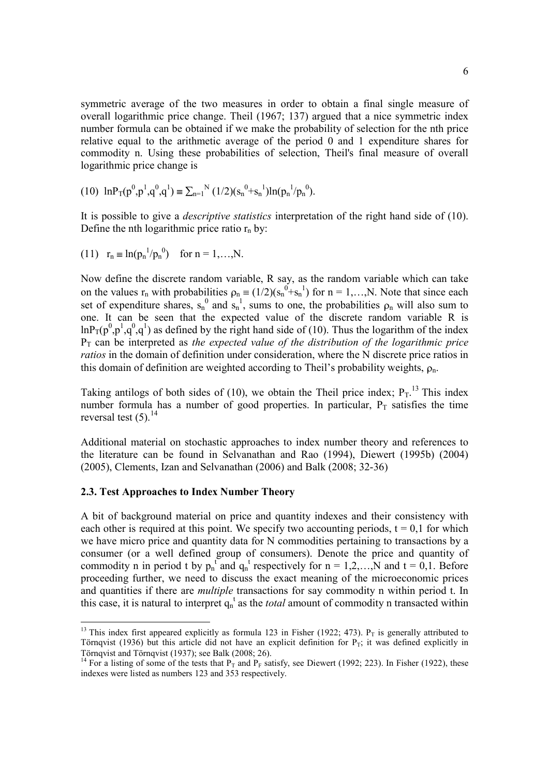symmetric average of the two measures in order to obtain a final single measure of overall logarithmic price change. Theil (1967; 137) argued that a nice symmetric index number formula can be obtained if we make the probability of selection for the nth price relative equal to the arithmetic average of the period 0 and 1 expenditure shares for commodity n. Using these probabilities of selection, Theil's final measure of overall logarithmic price change is

(10) 
$$
\ln P_T(p^0, p^1, q^0, q^1) \equiv \sum_{n=1}^N (1/2) (s_n^0 + s_n^1) \ln(p_n^1/p_n^0)
$$
.

It is possible to give a *descriptive statistics* interpretation of the right hand side of (10). Define the nth logarithmic price ratio  $r_n$  by:

(11) 
$$
r_n \equiv \ln(p_n^{-1}/p_n^0)
$$
 for  $n = 1,...,N$ .

Now define the discrete random variable, R say, as the random variable which can take on the values  $r_n$  with probabilities  $\rho_n \equiv (1/2)(s_n^0 + s_n^1)$  for  $n = 1,...,N$ . Note that since each set of expenditure shares,  $s_n^0$  and  $s_n^1$ , sums to one, the probabilities  $\rho_n$  will also sum to one. It can be seen that the expected value of the discrete random variable R is  $\ln P_T(p^0, p^1, q^0, q^1)$  as defined by the right hand side of (10). Thus the logarithm of the index  $P_T$  can be interpreted as *the expected value of the distribution of the logarithmic price ratios* in the domain of definition under consideration, where the N discrete price ratios in this domain of definition are weighted according to Theil's probability weights,  $\rho_n$ .

Taking antilogs of both sides of (10), we obtain the Theil price index;  $P_T$ .<sup>13</sup> This index number formula has a number of good properties. In particular,  $P_T$  satisfies the time reversal test  $(5)$ .<sup>14</sup>

Additional material on stochastic approaches to index number theory and references to the literature can be found in Selvanathan and Rao (1994), Diewert (1995b) (2004) (2005), Clements, Izan and Selvanathan (2006) and Balk (2008; 32-36)

#### **2.3. Test Approaches to Index Number Theory**

A bit of background material on price and quantity indexes and their consistency with each other is required at this point. We specify two accounting periods,  $t = 0,1$  for which we have micro price and quantity data for N commodities pertaining to transactions by a consumer (or a well defined group of consumers). Denote the price and quantity of commodity n in period t by  $p_n^t$  and  $q_n^t$  respectively for  $n = 1, 2, \ldots, N$  and  $t = 0, 1$ . Before proceeding further, we need to discuss the exact meaning of the microeconomic prices and quantities if there are *multiple* transactions for say commodity n within period t. In this case, it is natural to interpret  $q_n^t$  as the *total* amount of commodity n transacted within

<sup>&</sup>lt;sup>13</sup> This index first appeared explicitly as formula 123 in Fisher (1922; 473).  $P_T$  is generally attributed to Törnqvist (1936) but this article did not have an explicit definition for  $P_T$ ; it was defined explicitly in Törnqvist and Törnqvist (1937); see Balk (2008; 26).

<sup>&</sup>lt;sup>14</sup> For a listing of some of the tests that  $P_T$  and  $P_F$  satisfy, see Diewert (1992; 223). In Fisher (1922), these indexes were listed as numbers 123 and 353 respectively.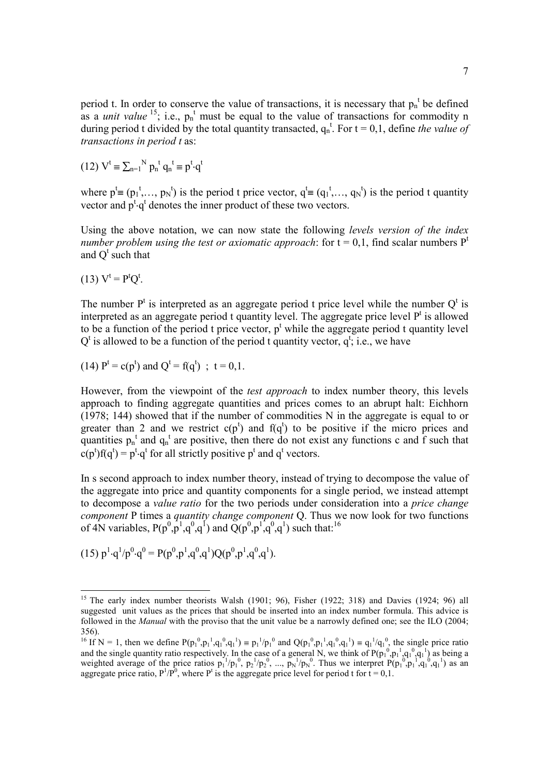period t. In order to conserve the value of transactions, it is necessary that  $p_n^t$  be defined as a *unit value* <sup>15</sup>; i.e.,  $p_n^t$  must be equal to the value of transactions for commodity n during period t divided by the total quantity transacted,  $q_n^t$ . For  $t = 0, 1$ , define *the value of transactions in period t* as:

(12) 
$$
V^t \equiv \sum_{n=1}^N p_n^t q_n^t \equiv p^t \cdot q^t
$$

where  $p^t \equiv (p_1^t, ..., p_N^t)$  is the period t price vector,  $q^t \equiv (q_1^t, ..., q_N^t)$  is the period t quantity vector and  $p^t \cdot q^t$  denotes the inner product of these two vectors.

Using the above notation, we can now state the following *levels version of the index number problem using the test or axiomatic approach:* for  $t = 0,1$ , find scalar numbers  $P<sup>t</sup>$ and  $Q^t$  such that

$$
(13) Vt = PtQt.
$$

The number  $P<sup>t</sup>$  is interpreted as an aggregate period t price level while the number  $Q<sup>t</sup>$  is interpreted as an aggregate period  $t$  quantity level. The aggregate price level  $P<sup>t</sup>$  is allowed to be a function of the period t price vector,  $p^t$  while the aggregate period t quantity level  $Q^t$  is allowed to be a function of the period t quantity vector,  $q^t$ , i.e., we have

(14) 
$$
P^t = c(p^t)
$$
 and  $Q^t = f(q^t)$ ;  $t = 0,1$ .

However, from the viewpoint of the *test approach* to index number theory, this levels approach to finding aggregate quantities and prices comes to an abrupt halt: Eichhorn (1978; 144) showed that if the number of commodities N in the aggregate is equal to or greater than 2 and we restrict  $c(p<sup>t</sup>)$  and  $f(q<sup>t</sup>)$  to be positive if the micro prices and quantities  $p_n^t$  and  $q_n^t$  are positive, then there do not exist any functions c and f such that  $c(p^t) f(q^t) = p^t \cdot q^t$  for all strictly positive  $p^t$  and  $q^t$  vectors.

In s second approach to index number theory, instead of trying to decompose the value of the aggregate into price and quantity components for a single period, we instead attempt to decompose a *value ratio* for the two periods under consideration into a *price change component* P times a *quantity change component* Q. Thus we now look for two functions of 4N variables,  $P(p^0, p^1, q^0, q^1)$  and  $\tilde{Q}(p^0, p^1, q^0, q^1)$  such that.<sup>16</sup>

 $(15) p<sup>1</sup> \cdot q<sup>1</sup>/p<sup>0</sup> \cdot q<sup>0</sup> = P(p<sup>0</sup>, p<sup>1</sup>, q<sup>0</sup>, q<sup>1</sup>) Q(p<sup>0</sup>, p<sup>1</sup>, q<sup>0</sup>, q<sup>1</sup>).$ 

<sup>&</sup>lt;sup>15</sup> The early index number theorists Walsh (1901; 96), Fisher (1922; 318) and Davies (1924; 96) all suggested unit values as the prices that should be inserted into an index number formula. This advice is followed in the *Manual* with the proviso that the unit value be a narrowly defined one; see the ILO (2004; 356).

<sup>&</sup>lt;sup>16</sup> If N = 1, then we define  $P(p_1^0, p_1^1, q_1^0, q_1^1) = p_1^1/p_1^0$  and  $Q(p_1^0, p_1^1, q_1^0, q_1^1) = q_1^1/q_1^0$ , the single price ratio and the single quantity ratio respectively. In the case of a general N, we think of  $P(p_1^0, p_1^1, q_1^0, q_1^1)$  as being a weighted average of the price ratios  $p_1^{-1}/p_1^{0}$ ,  $p_2^{-1}/p_2^{0}$ , ...,  $p_N^{-1}/p_N^{0}$ . Thus we interpret  $P(p_1^{0}, p_1^{0}, q_1^{0}, q_1^{1})$  as an aggregate price ratio,  $P^1/P^0$ , where  $P^t$  is the aggregate price level for period t for  $t = 0,1$ .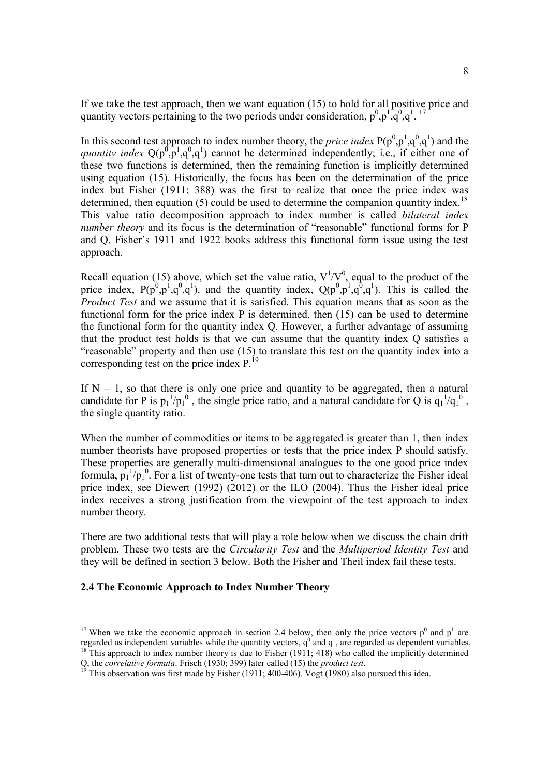If we take the test approach, then we want equation (15) to hold for all positive price and quantity vectors pertaining to the two periods under consideration,  $p^0, p^1, q^0, q^1$ . <sup>17</sup>

In this second test approach to index number theory, the *price index*  $P(p^0, p^1, q^0, q^1)$  and the *quantity index*  $Q(p^0, p^1, q^0, q^1)$  cannot be determined independently; i.e., if either one of these two functions is determined, then the remaining function is implicitly determined using equation (15). Historically, the focus has been on the determination of the price index but Fisher (1911; 388) was the first to realize that once the price index was determined, then equation  $(5)$  could be used to determine the companion quantity index.<sup>18</sup> This value ratio decomposition approach to index number is called *bilateral index number theory* and its focus is the determination of "reasonable" functional forms for P and Q. Fisher's 1911 and 1922 books address this functional form issue using the test approach.

Recall equation (15) above, which set the value ratio,  $V^{1}/V^{0}$ , equal to the product of the price index,  $P(p^0, p^1, q^0, q^1)$ , and the quantity index,  $Q(p^0, p^1, q^0, q^1)$ . This is called the *Product Test* and we assume that it is satisfied. This equation means that as soon as the functional form for the price index P is determined, then (15) can be used to determine the functional form for the quantity index Q. However, a further advantage of assuming that the product test holds is that we can assume that the quantity index Q satisfies a "reasonable" property and then use (15) to translate this test on the quantity index into a corresponding test on the price index  $P^{19}$ .

If  $N = 1$ , so that there is only one price and quantity to be aggregated, then a natural candidate for P is  $p_1^{-1}/p_1^{-0}$ , the single price ratio, and a natural candidate for Q is  $q_1^{-1}/q_1^{-0}$ , the single quantity ratio.

When the number of commodities or items to be aggregated is greater than 1, then index number theorists have proposed properties or tests that the price index P should satisfy. These properties are generally multi-dimensional analogues to the one good price index formula,  $p_1^{-1}/p_1^0$ . For a list of twenty-one tests that turn out to characterize the Fisher ideal price index, see Diewert (1992) (2012) or the ILO (2004). Thus the Fisher ideal price index receives a strong justification from the viewpoint of the test approach to index number theory.

There are two additional tests that will play a role below when we discuss the chain drift problem. These two tests are the *Circularity Test* and the *Multiperiod Identity Test* and they will be defined in section 3 below. Both the Fisher and Theil index fail these tests.

#### **2.4 The Economic Approach to Index Number Theory**

<sup>&</sup>lt;sup>17</sup> When we take the economic approach in section 2.4 below, then only the price vectors  $p^0$  and  $p^1$  are regarded as independent variables while the quantity vectors,  $q^0$  and  $q^1$ , are regarded as dependent variables. <sup>18</sup> This approach to index number theory is due to Fisher  $(1911; 418)$  who called the implicitly determined

Q, the *correlative formula*. Frisch (1930; 399) later called (15) the *product test*.

This observation was first made by Fisher  $(1911; 400-406)$ . Vogt (1980) also pursued this idea.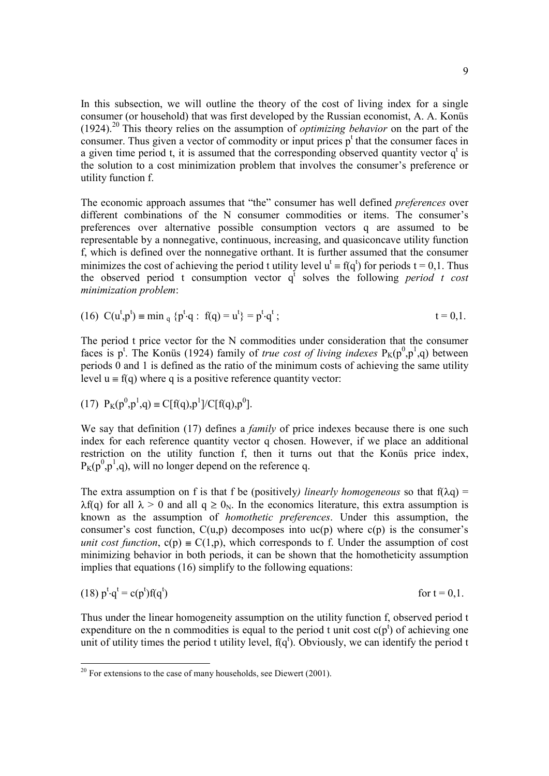In this subsection, we will outline the theory of the cost of living index for a single consumer (or household) that was first developed by the Russian economist, A. A. Konüs (1924). <sup>20</sup> This theory relies on the assumption of *optimizing behavior* on the part of the consumer. Thus given a vector of commodity or input prices  $p^t$  that the consumer faces in a given time period t, it is assumed that the corresponding observed quantity vector  $q^t$  is the solution to a cost minimization problem that involves the consumer's preference or utility function f.

The economic approach assumes that "the" consumer has well defined *preferences* over different combinations of the N consumer commodities or items. The consumer's preferences over alternative possible consumption vectors q are assumed to be representable by a nonnegative, continuous, increasing, and quasiconcave utility function f, which is defined over the nonnegative orthant. It is further assumed that the consumer minimizes the cost of achieving the period t utility level  $u^t = f(q^t)$  for periods  $t = 0,1$ . Thus the observed period t consumption vector  $q^t$  solves the following *period t cost minimization problem*:

(16) 
$$
C(u^t, p^t) \equiv \min_{q} \{p^t \cdot q : f(q) = u^t\} = p^t \cdot q^t;
$$
  $t = 0, 1.$ 

The period t price vector for the N commodities under consideration that the consumer faces is p<sup>t</sup>. The Konüs (1924) family of *true cost of living indexes*  $P_K(p^0, p^1, q)$  between periods 0 and 1 is defined as the ratio of the minimum costs of achieving the same utility level  $u = f(q)$  where q is a positive reference quantity vector:

(17) 
$$
P_K(p^0, p^1, q) \equiv C[f(q), p^1]/C[f(q), p^0]
$$
.

We say that definition (17) defines a *family* of price indexes because there is one such index for each reference quantity vector q chosen. However, if we place an additional restriction on the utility function f, then it turns out that the Konüs price index,  $P_K(p^0, p^1, q)$ , will no longer depend on the reference q.

The extra assumption on f is that f be (positively) *linearly homogeneous* so that  $f(\lambda q)$  =  $\lambda f(q)$  for all  $\lambda > 0$  and all  $q \geq 0_N$ . In the economics literature, this extra assumption is known as the assumption of *homothetic preferences*. Under this assumption, the consumer's cost function,  $C(u,p)$  decomposes into  $uc(p)$  where  $c(p)$  is the consumer's *unit cost function*,  $c(p) \equiv C(1, p)$ , which corresponds to f. Under the assumption of cost minimizing behavior in both periods, it can be shown that the homotheticity assumption implies that equations (16) simplify to the following equations:

$$
(18) pt \cdot qt = c(pt) f(qt) \qquad \text{for } t = 0, 1.
$$

Thus under the linear homogeneity assumption on the utility function f, observed period t expenditure on the n commodities is equal to the period t unit cost  $c(p^t)$  of achieving one unit of utility times the period t utility level,  $f(q^t)$ . Obviously, we can identify the period t

 $20$  For extensions to the case of many households, see Diewert (2001).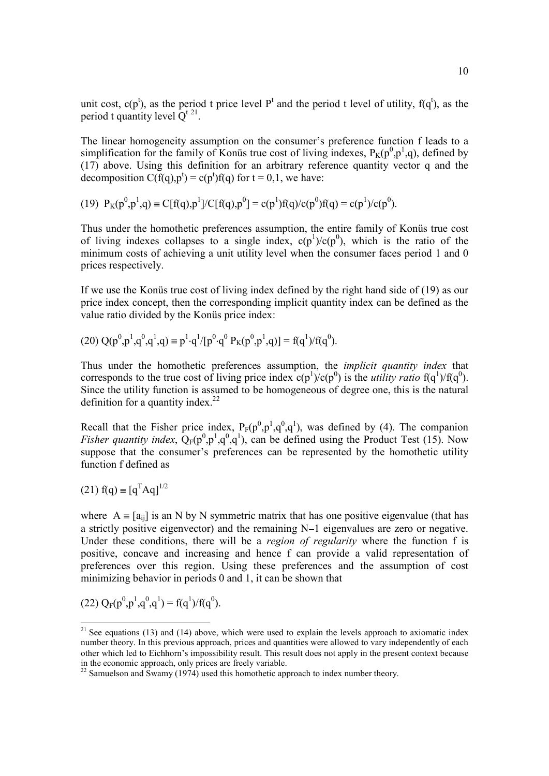unit cost,  $c(p^t)$ , as the period t price level  $P^t$  and the period t level of utility,  $f(q^t)$ , as the period t quantity level  $Q^{t}$ <sup>21</sup>.

The linear homogeneity assumption on the consumer's preference function f leads to a simplification for the family of Konüs true cost of living indexes,  $P_K(p^0, p^1, q)$ , defined by (17) above. Using this definition for an arbitrary reference quantity vector q and the decomposition  $C(f(q), p^t) = c(p^t)f(q)$  for  $t = 0, 1$ , we have:

(19)  $P_K(p^0, p^1, q) \equiv C[f(q), p^1]/C[f(q), p^0] = c(p^1)f(q)/c(p^0)f(q) = c(p^1)/c(p^0).$ 

Thus under the homothetic preferences assumption, the entire family of Konüs true cost of living indexes collapses to a single index,  $c(p<sup>1</sup>)/c(p<sup>0</sup>)$ , which is the ratio of the minimum costs of achieving a unit utility level when the consumer faces period 1 and 0 prices respectively.

If we use the Konüs true cost of living index defined by the right hand side of (19) as our price index concept, then the corresponding implicit quantity index can be defined as the value ratio divided by the Konüs price index:

(20) 
$$
Q(p^0, p^1, q^0, q^1, q) \equiv p^1 \cdot q^1 / [p^0 \cdot q^0 P_K(p^0, p^1, q)] = f(q^1) / f(q^0)
$$
.

Thus under the homothetic preferences assumption, the *implicit quantity index* that corresponds to the true cost of living price index  $c(p^1)/c(p^0)$  is the *utility ratio*  $f(q^1)/f(q^0)$ . Since the utility function is assumed to be homogeneous of degree one, this is the natural definition for a quantity index. $22$ 

Recall that the Fisher price index,  $P_F(p^0, p^1, q^0, q^1)$ , was defined by (4). The companion *Fisher quantity index*,  $Q_F(p^0, p^1, q^0, q^1)$ , can be defined using the Product Test (15). Now suppose that the consumer's preferences can be represented by the homothetic utility function f defined as

(21) 
$$
f(q) \equiv [q^T A q]^{1/2}
$$

where  $A = [a_{ii}]$  is an N by N symmetric matrix that has one positive eigenvalue (that has a strictly positive eigenvector) and the remaining  $N-1$  eigenvalues are zero or negative. Under these conditions, there will be a *region of regularity* where the function f is positive, concave and increasing and hence f can provide a valid representation of preferences over this region. Using these preferences and the assumption of cost minimizing behavior in periods 0 and 1, it can be shown that

(22) 
$$
Q_F(p^0, p^1, q^0, q^1) = f(q^1)/f(q^0)
$$
.

<sup>&</sup>lt;sup>21</sup> See equations (13) and (14) above, which were used to explain the levels approach to axiomatic index number theory. In this previous approach, prices and quantities were allowed to vary independently of each other which led to Eichhorn's impossibility result. This result does not apply in the present context because

in the economic approach, only prices are freely variable. 22 Samuelson and Swamy (1974) used this homothetic approach to index number theory.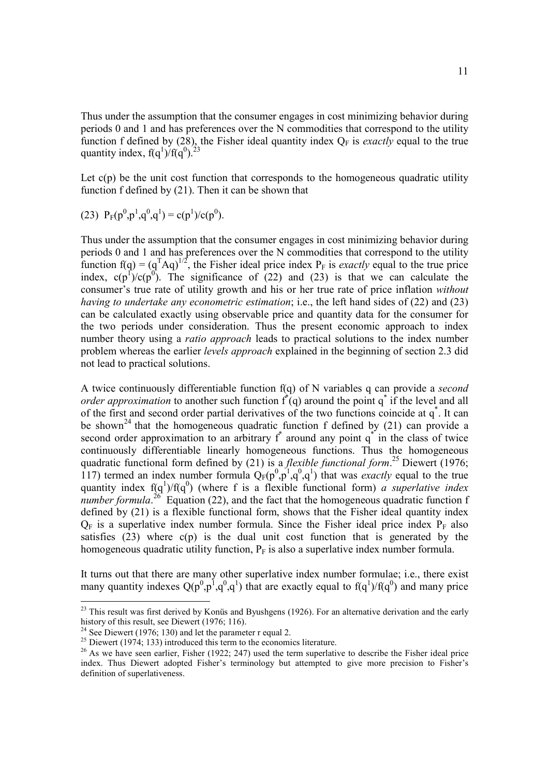Thus under the assumption that the consumer engages in cost minimizing behavior during periods 0 and 1 and has preferences over the N commodities that correspond to the utility function f defined by (28), the Fisher ideal quantity index  $Q_F$  is *exactly* equal to the true quantity index,  $f(q^1)/f(q^0)$ .<sup>23</sup>

Let  $c(p)$  be the unit cost function that corresponds to the homogeneous quadratic utility function f defined by (21). Then it can be shown that

(23) 
$$
P_F(p^0, p^1, q^0, q^1) = c(p^1)/c(p^0)
$$
.

Thus under the assumption that the consumer engages in cost minimizing behavior during periods 0 and 1 and has preferences over the N commodities that correspond to the utility function  $f(q) = (q^T A q)^{1/2}$ , the Fisher ideal price index  $P_F$  is *exactly* equal to the true price index,  $c(p^1)/c(p^0)$ . The significance of (22) and (23) is that we can calculate the consumer's true rate of utility growth and his or her true rate of price inflation *without having to undertake any econometric estimation*; i.e., the left hand sides of (22) and (23) can be calculated exactly using observable price and quantity data for the consumer for the two periods under consideration. Thus the present economic approach to index number theory using a *ratio approach* leads to practical solutions to the index number problem whereas the earlier *levels approach* explained in the beginning of section 2.3 did not lead to practical solutions.

A twice continuously differentiable function f(q) of N variables q can provide a *second order approximation* to another such function  $f'(q)$  around the point  $q^*$  if the level and all of the first and second order partial derivatives of the two functions coincide at  $q^*$ . It can be shown<sup>24</sup> that the homogeneous quadratic function f defined by  $(21)$  can provide a second order approximation to an arbitrary  $f^*$  around any point  $q^*$  in the class of twice continuously differentiable linearly homogeneous functions. Thus the homogeneous quadratic functional form defined by (21) is a *flexible functional form*. <sup>25</sup> Diewert (1976; 117) termed an index number formula  $Q_F(p^0, p^1, q^0, q^1)$  that was *exactly* equal to the true quantity index  $f(q<sup>1</sup>)/f(q<sup>0</sup>)$  (where f is a flexible functional form) *a superlative index number formula*.<sup>26</sup> Equation (22), and the fact that the homogeneous quadratic function f defined by (21) is a flexible functional form, shows that the Fisher ideal quantity index  $Q_F$  is a superlative index number formula. Since the Fisher ideal price index  $P_F$  also satisfies  $(23)$  where  $c(p)$  is the dual unit cost function that is generated by the homogeneous quadratic utility function,  $P_F$  is also a superlative index number formula.

It turns out that there are many other superlative index number formulae; i.e., there exist many quantity indexes  $Q(p^0, p^1, q^0, q^1)$  that are exactly equal to  $f(q^1)/f(q^0)$  and many price

<sup>&</sup>lt;sup>23</sup> This result was first derived by Konüs and Byushgens (1926). For an alternative derivation and the early history of this result, see Diewert (1976; 116).

<sup>&</sup>lt;sup>24</sup> See Diewert (1976; 130) and let the parameter r equal 2.

 $25$  Diewert (1974; 133) introduced this term to the economics literature.

<sup>&</sup>lt;sup>26</sup> As we have seen earlier, Fisher (1922; 247) used the term superlative to describe the Fisher ideal price index. Thus Diewert adopted Fisher's terminology but attempted to give more precision to Fisher's definition of superlativeness.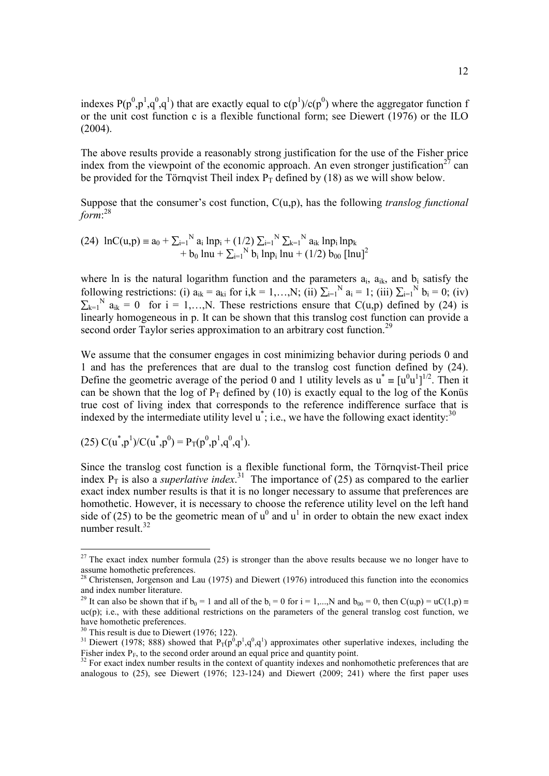indexes  $P(p^0, p^1, q^0, q^1)$  that are exactly equal to  $c(p^1)/c(p^0)$  where the aggregator function f or the unit cost function c is a flexible functional form; see Diewert (1976) or the ILO (2004).

The above results provide a reasonably strong justification for the use of the Fisher price index from the viewpoint of the economic approach. An even stronger justification<sup>27</sup> can be provided for the Törnqvist Theil index  $P_T$  defined by (18) as we will show below.

Suppose that the consumer's cost function, C(u,p), has the following *translog functional form*: 28

(24) 
$$
\ln C(u, p) = a_0 + \sum_{i=1}^{N} a_i \ln p_i + (1/2) \sum_{i=1}^{N} \sum_{k=1}^{N} a_{ik} \ln p_i \ln p_k + b_0 \ln u + \sum_{i=1}^{N} b_i \ln p_i \ln u + (1/2) b_{00} [\ln u]^2
$$

where ln is the natural logarithm function and the parameters  $a_i$ ,  $a_{ik}$ , and  $b_i$  satisfy the following restrictions: (i)  $a_{ik} = a_{ki}$  for  $i, k = 1,..., N$ ; (ii)  $\sum_{i=1}^{N} a_i = 1$ ; (iii)  $\sum_{i=1}^{N} b_i = 0$ ; (iv)  $k=1$ <sup>N</sup>  $a_{ik} = 0$  for i = 1,..., N. These restrictions ensure that C(u,p) defined by (24) is linearly homogeneous in p. It can be shown that this translog cost function can provide a second order Taylor series approximation to an arbitrary cost function.<sup>29</sup>

We assume that the consumer engages in cost minimizing behavior during periods 0 and 1 and has the preferences that are dual to the translog cost function defined by (24). Define the geometric average of the period 0 and 1 utility levels as  $u^* = [u^0 u^1]^{1/2}$ . Then it can be shown that the log of  $P_T$  defined by (10) is exactly equal to the log of the Konüs true cost of living index that corresponds to the reference indifference surface that is indexed by the intermediate utility level  $u^*$ ; i.e., we have the following exact identity:<sup>30</sup>

(25) 
$$
C(u^*,p^1)/C(u^*,p^0) = P_T(p^0,p^1,q^0,q^1)
$$
.

Since the translog cost function is a flexible functional form, the Törnqvist-Theil price index  $P_T$  is also a *superlative index*.<sup>31</sup> The importance of (25) as compared to the earlier exact index number results is that it is no longer necessary to assume that preferences are homothetic. However, it is necessary to choose the reference utility level on the left hand side of (25) to be the geometric mean of  $u^0$  and  $u^1$  in order to obtain the new exact index number result. 32

 $27$  The exact index number formula (25) is stronger than the above results because we no longer have to assume homothetic preferences.

<sup>&</sup>lt;sup>28</sup> Christensen, Jorgenson and Lau (1975) and Diewert (1976) introduced this function into the economics and index number literature.

<sup>&</sup>lt;sup>29</sup> It can also be shown that if  $b_0 = 1$  and all of the  $b_i = 0$  for  $i = 1,...,N$  and  $b_{00} = 0$ , then  $C(u,p) = uC(1,p)$  $uc(p)$ ; i.e., with these additional restrictions on the parameters of the general translog cost function, we have homothetic preferences.

 $30$  This result is due to Diewert (1976; 122).

<sup>&</sup>lt;sup>31</sup> Diewert (1978; 888) showed that  $P_T(p^0, p^1, q^0, q^1)$  approximates other superlative indexes, including the Fisher index  $P_F$ , to the second order around an equal price and quantity point.

 $32$  For exact index number results in the context of quantity indexes and nonhomothetic preferences that are analogous to (25), see Diewert (1976; 123-124) and Diewert (2009; 241) where the first paper uses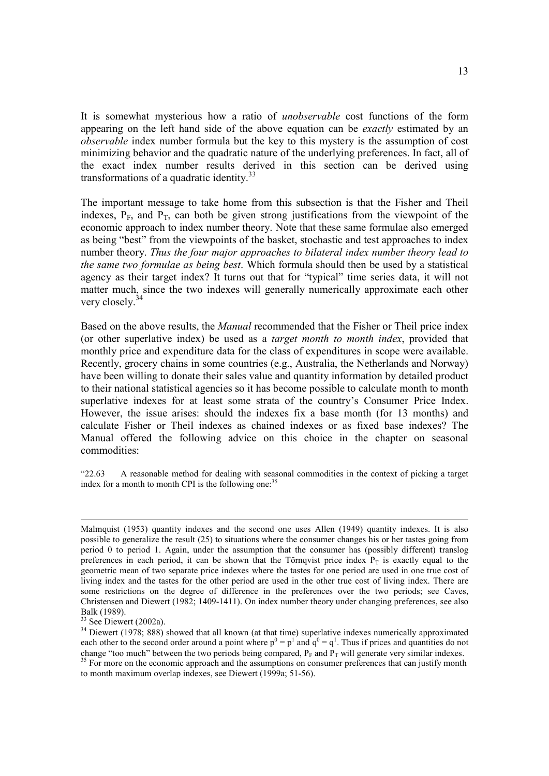It is somewhat mysterious how a ratio of *unobservable* cost functions of the form appearing on the left hand side of the above equation can be *exactly* estimated by an *observable* index number formula but the key to this mystery is the assumption of cost minimizing behavior and the quadratic nature of the underlying preferences. In fact, all of the exact index number results derived in this section can be derived using transformations of a quadratic identity.<sup>33</sup>

The important message to take home from this subsection is that the Fisher and Theil indexes,  $P_F$ , and  $P_T$ , can both be given strong justifications from the viewpoint of the economic approach to index number theory. Note that these same formulae also emerged as being "best" from the viewpoints of the basket, stochastic and test approaches to index number theory. *Thus the four major approaches to bilateral index number theory lead to the same two formulae as being best*. Which formula should then be used by a statistical agency as their target index? It turns out that for "typical" time series data, it will not matter much, since the two indexes will generally numerically approximate each other very closely.<sup>34</sup>

Based on the above results, the *Manual* recommended that the Fisher or Theil price index (or other superlative index) be used as a *target month to month index*, provided that monthly price and expenditure data for the class of expenditures in scope were available. Recently, grocery chains in some countries (e.g., Australia, the Netherlands and Norway) have been willing to donate their sales value and quantity information by detailed product to their national statistical agencies so it has become possible to calculate month to month superlative indexes for at least some strata of the country's Consumer Price Index. However, the issue arises: should the indexes fix a base month (for 13 months) and calculate Fisher or Theil indexes as chained indexes or as fixed base indexes? The Manual offered the following advice on this choice in the chapter on seasonal commodities:

"22.63 A reasonable method for dealing with seasonal commodities in the context of picking a target index for a month to month CPI is the following one.<sup>35</sup>

Malmquist (1953) quantity indexes and the second one uses Allen (1949) quantity indexes. It is also possible to generalize the result (25) to situations where the consumer changes his or her tastes going from period 0 to period 1. Again, under the assumption that the consumer has (possibly different) translog preferences in each period, it can be shown that the Törnqvist price index  $P_T$  is exactly equal to the geometric mean of two separate price indexes where the tastes for one period are used in one true cost of living index and the tastes for the other period are used in the other true cost of living index. There are some restrictions on the degree of difference in the preferences over the two periods; see Caves, Christensen and Diewert (1982; 1409-1411). On index number theory under changing preferences, see also Balk (1989).

<sup>&</sup>lt;sup>33</sup> See Diewert (2002a).

<sup>&</sup>lt;sup>34</sup> Diewert (1978; 888) showed that all known (at that time) superlative indexes numerically approximated each other to the second order around a point where  $p^0 = p^1$  and  $q^0 = q^1$ . Thus if prices and quantities do not change "too much" between the two periods being compared,  $P_F$  and  $P_T$  will generate very similar indexes.

<sup>&</sup>lt;sup>35</sup> For more on the economic approach and the assumptions on consumer preferences that can justify month to month maximum overlap indexes, see Diewert (1999a; 51-56).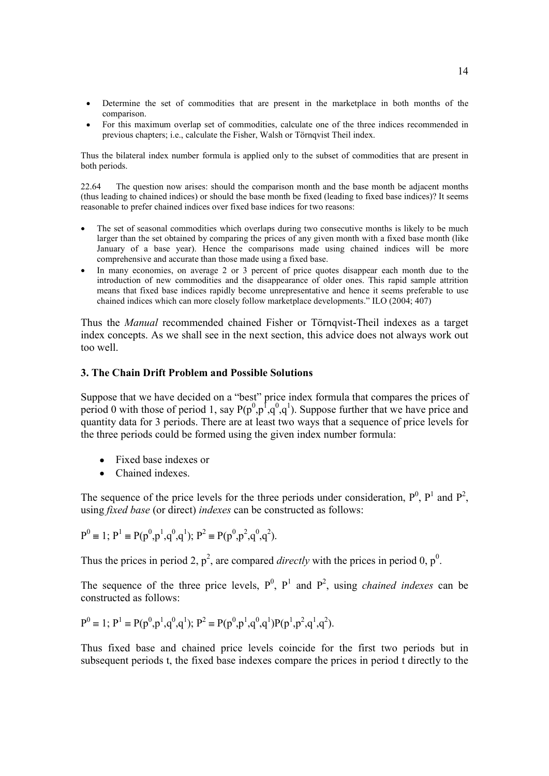- Determine the set of commodities that are present in the marketplace in both months of the comparison.
- For this maximum overlap set of commodities, calculate one of the three indices recommended in previous chapters; i.e., calculate the Fisher, Walsh or Törnqvist Theil index.

Thus the bilateral index number formula is applied only to the subset of commodities that are present in both periods.

22.64 The question now arises: should the comparison month and the base month be adjacent months (thus leading to chained indices) or should the base month be fixed (leading to fixed base indices)? It seems reasonable to prefer chained indices over fixed base indices for two reasons:

- The set of seasonal commodities which overlaps during two consecutive months is likely to be much larger than the set obtained by comparing the prices of any given month with a fixed base month (like January of a base year). Hence the comparisons made using chained indices will be more comprehensive and accurate than those made using a fixed base.
- In many economies, on average 2 or 3 percent of price quotes disappear each month due to the introduction of new commodities and the disappearance of older ones. This rapid sample attrition means that fixed base indices rapidly become unrepresentative and hence it seems preferable to use chained indices which can more closely follow marketplace developments." ILO (2004; 407)

Thus the *Manual* recommended chained Fisher or Törnqvist-Theil indexes as a target index concepts. As we shall see in the next section, this advice does not always work out too well.

## **3. The Chain Drift Problem and Possible Solutions**

Suppose that we have decided on a "best" price index formula that compares the prices of period 0 with those of period 1, say  $P(p^0, p^1, q^0, q^1)$ . Suppose further that we have price and quantity data for 3 periods. There are at least two ways that a sequence of price levels for the three periods could be formed using the given index number formula:

- Fixed base indexes or
- Chained indexes.

The sequence of the price levels for the three periods under consideration,  $P^0$ ,  $P^1$  and  $P^2$ , using *fixed base* (or direct) *indexes* can be constructed as follows:

$$
P^0 \equiv 1; P^1 \equiv P(p^0, p^1, q^0, q^1); P^2 \equiv P(p^0, p^2, q^0, q^2).
$$

Thus the prices in period 2,  $p^2$ , are compared *directly* with the prices in period 0,  $p^0$ .

The sequence of the three price levels,  $P^0$ ,  $P^1$  and  $P^2$ , using *chained indexes* can be constructed as follows:

$$
P^0 \equiv 1; P^1 \equiv P(p^0, p^1, q^0, q^1); P^2 \equiv P(p^0, p^1, q^0, q^1)P(p^1, p^2, q^1, q^2).
$$

Thus fixed base and chained price levels coincide for the first two periods but in subsequent periods t, the fixed base indexes compare the prices in period t directly to the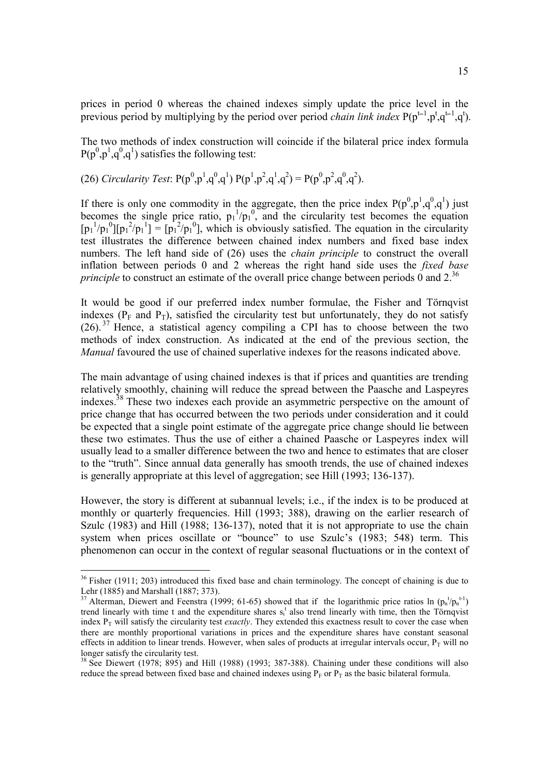prices in period 0 whereas the chained indexes simply update the price level in the previous period by multiplying by the period over period *chain link index*  $P(p^{t-1}, p^t, q^{t-1}, q^t)$ .

The two methods of index construction will coincide if the bilateral price index formula  $P(p^0, p^1, q^0, q^1)$  satisfies the following test:

(26) *Circularity Test*: 
$$
P(p^0, p^1, q^0, q^1) P(p^1, p^2, q^1, q^2) = P(p^0, p^2, q^0, q^2)
$$
.

If there is only one commodity in the aggregate, then the price index  $P(p^0, p^1, q^0, q^1)$  just becomes the single price ratio,  $p_1^{-1}/p_1^{-0}$ , and the circularity test becomes the equation  $[p_1^1/p_1^0][p_1^2/p_1^1] = [p_1^2/p_1^0]$ , which is obviously satisfied. The equation in the circularity test illustrates the difference between chained index numbers and fixed base index numbers. The left hand side of (26) uses the *chain principle* to construct the overall inflation between periods 0 and 2 whereas the right hand side uses the *fixed base principle* to construct an estimate of the overall price change between periods  $\dot{0}$  and 2.<sup>36</sup>

It would be good if our preferred index number formulae, the Fisher and Törnqvist indexes ( $P_F$  and  $P_T$ ), satisfied the circularity test but unfortunately, they do not satisfy  $(26)$ .<sup>37</sup> Hence, a statistical agency compiling a CPI has to choose between the two methods of index construction. As indicated at the end of the previous section, the *Manual* favoured the use of chained superlative indexes for the reasons indicated above.

The main advantage of using chained indexes is that if prices and quantities are trending relatively smoothly, chaining will reduce the spread between the Paasche and Laspeyres indexes. 38 These two indexes each provide an asymmetric perspective on the amount of price change that has occurred between the two periods under consideration and it could be expected that a single point estimate of the aggregate price change should lie between these two estimates. Thus the use of either a chained Paasche or Laspeyres index will usually lead to a smaller difference between the two and hence to estimates that are closer to the "truth". Since annual data generally has smooth trends, the use of chained indexes is generally appropriate at this level of aggregation; see Hill (1993; 136-137).

However, the story is different at subannual levels; i.e., if the index is to be produced at monthly or quarterly frequencies. Hill (1993; 388), drawing on the earlier research of Szulc (1983) and Hill (1988; 136-137), noted that it is not appropriate to use the chain system when prices oscillate or "bounce" to use Szulc's (1983; 548) term. This phenomenon can occur in the context of regular seasonal fluctuations or in the context of

 $36$  Fisher (1911; 203) introduced this fixed base and chain terminology. The concept of chaining is due to Lehr (1885) and Marshall (1887; 373).

<sup>&</sup>lt;sup>37</sup> Alterman, Diewert and Feenstra (1999; 61-65) showed that if the logarithmic price ratios ln  $(p_n^t/p_n^{t-1})$ trend linearly with time t and the expenditure shares  $s_i^t$  also trend linearly with time, then the Törnqvist index  $P<sub>T</sub>$  will satisfy the circularity test *exactly*. They extended this exactness result to cover the case when there are monthly proportional variations in prices and the expenditure shares have constant seasonal effects in addition to linear trends. However, when sales of products at irregular intervals occur,  $P<sub>T</sub>$  will no longer satisfy the circularity test.

<sup>&</sup>lt;sup>38</sup> See Diewert (1978; 895) and Hill (1988) (1993; 387-388). Chaining under these conditions will also reduce the spread between fixed base and chained indexes using  $P_F$  or  $P_T$  as the basic bilateral formula.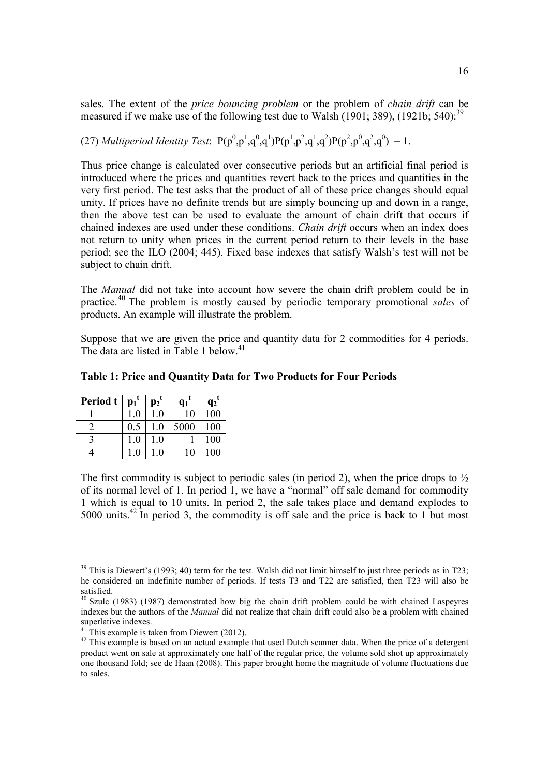sales. The extent of the *price bouncing problem* or the problem of *chain drift* can be measured if we make use of the following test due to Walsh  $(1901; 389)$ ,  $(1921b; 540)$ .<sup>39</sup>

(27) *Multiperiod Identity Test*:  $P(p^0, p^1, q^0, q^1)P(p^1, p^2, q^1, q^2)P(p^2, p^0, q^2, q^0) = 1$ .

Thus price change is calculated over consecutive periods but an artificial final period is introduced where the prices and quantities revert back to the prices and quantities in the very first period. The test asks that the product of all of these price changes should equal unity. If prices have no definite trends but are simply bouncing up and down in a range, then the above test can be used to evaluate the amount of chain drift that occurs if chained indexes are used under these conditions. *Chain drift* occurs when an index does not return to unity when prices in the current period return to their levels in the base period; see the ILO (2004; 445). Fixed base indexes that satisfy Walsh's test will not be subject to chain drift.

The *Manual* did not take into account how severe the chain drift problem could be in practice. 40 The problem is mostly caused by periodic temporary promotional *sales* of products. An example will illustrate the problem.

Suppose that we are given the price and quantity data for 2 commodities for 4 periods. The data are listed in Table 1 below.<sup>41</sup>

| Period t | $p_1$   | 92      |      | q <sub>2</sub> |
|----------|---------|---------|------|----------------|
|          | U       |         | 10   | 100            |
|          | $0.5\,$ | $_{.0}$ | 5000 | 100            |
|          | .0      | $_{.0}$ |      | 100            |
|          | .0      |         | 10   | 100            |

The first commodity is subject to periodic sales (in period 2), when the price drops to  $\frac{1}{2}$ of its normal level of 1. In period 1, we have a "normal" off sale demand for commodity 1 which is equal to 10 units. In period 2, the sale takes place and demand explodes to 5000 units. 42 In period 3, the commodity is off sale and the price is back to 1 but most

 $39$  This is Diewert's (1993; 40) term for the test. Walsh did not limit himself to just three periods as in T23; he considered an indefinite number of periods. If tests T3 and T22 are satisfied, then T23 will also be satisfied.

<sup>&</sup>lt;sup>40</sup> Szulc (1983) (1987) demonstrated how big the chain drift problem could be with chained Laspeyres indexes but the authors of the *Manual* did not realize that chain drift could also be a problem with chained superlative indexes.

 $^{41}$  This example is taken from Diewert (2012).

<sup>&</sup>lt;sup>42</sup> This example is based on an actual example that used Dutch scanner data. When the price of a detergent product went on sale at approximately one half of the regular price, the volume sold shot up approximately one thousand fold; see de Haan (2008). This paper brought home the magnitude of volume fluctuations due to sales.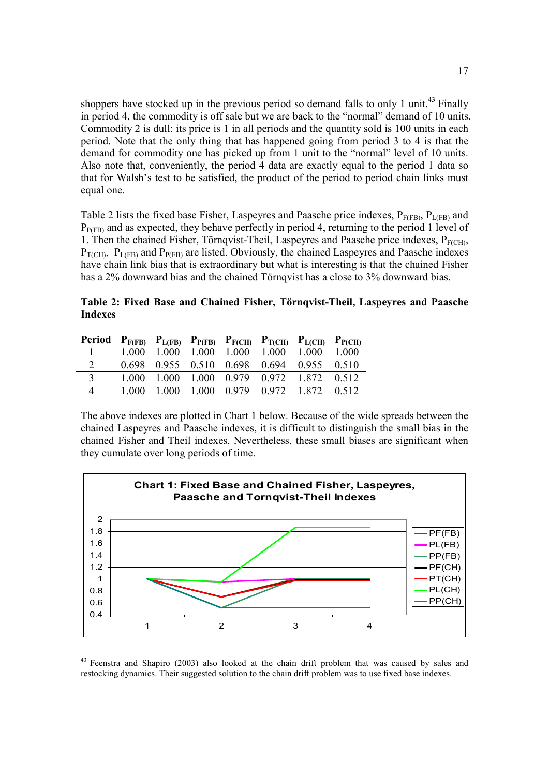shoppers have stocked up in the previous period so demand falls to only 1 unit.<sup>43</sup> Finally in period 4, the commodity is off sale but we are back to the "normal" demand of 10 units. Commodity 2 is dull: its price is 1 in all periods and the quantity sold is 100 units in each period. Note that the only thing that has happened going from period 3 to 4 is that the demand for commodity one has picked up from 1 unit to the "normal" level of 10 units. Also note that, conveniently, the period 4 data are exactly equal to the period 1 data so that for Walsh's test to be satisfied, the product of the period to period chain links must equal one.

Table 2 lists the fixed base Fisher, Laspeyres and Paasche price indexes,  $P_{F(FB)}$ ,  $P_{L(FB)}$  and  $P_{P(FB)}$  and as expected, they behave perfectly in period 4, returning to the period 1 level of 1. Then the chained Fisher, Törnqvist-Theil, Laspeyres and Paasche price indexes,  $P_{F(CH)}$ ,  $P_{T(CH)}$ ,  $P_{L(FB)}$  and  $P_{P(FB)}$  are listed. Obviously, the chained Laspeyres and Paasche indexes have chain link bias that is extraordinary but what is interesting is that the chained Fisher has a 2% downward bias and the chained Törnqvist has a close to 3% downward bias.

**Table 2: Fixed Base and Chained Fisher, Törnqvist-Theil, Laspeyres and Paasche Indexes**

| Period | $P_{F(FB)}$ | $P_{L(FB)}$ | $P_{P(FB)}$ | $P_{F(CH)}$ | $P_{T(CH)}$ | $P_{L(CH)}$ | $P_{P(CH)}$ |
|--------|-------------|-------------|-------------|-------------|-------------|-------------|-------------|
|        | 1.000       | .000        | 1.000       | 1.000       | .000        | 1.000       | .000        |
|        | 0.698       | 0.955       | 0.510       | 0.698       | 0.694       | 0.955       | 0.510       |
|        | 1.000       | .000        | .000        | 0.979       | 0.972       | 1.872       | 0.512       |
|        | 1.000       | .000        | .000        | 0.979       | 0.972       |             |             |

The above indexes are plotted in Chart 1 below. Because of the wide spreads between the chained Laspeyres and Paasche indexes, it is difficult to distinguish the small bias in the chained Fisher and Theil indexes. Nevertheless, these small biases are significant when they cumulate over long periods of time.



<sup>43</sup> Feenstra and Shapiro (2003) also looked at the chain drift problem that was caused by sales and restocking dynamics. Their suggested solution to the chain drift problem was to use fixed base indexes.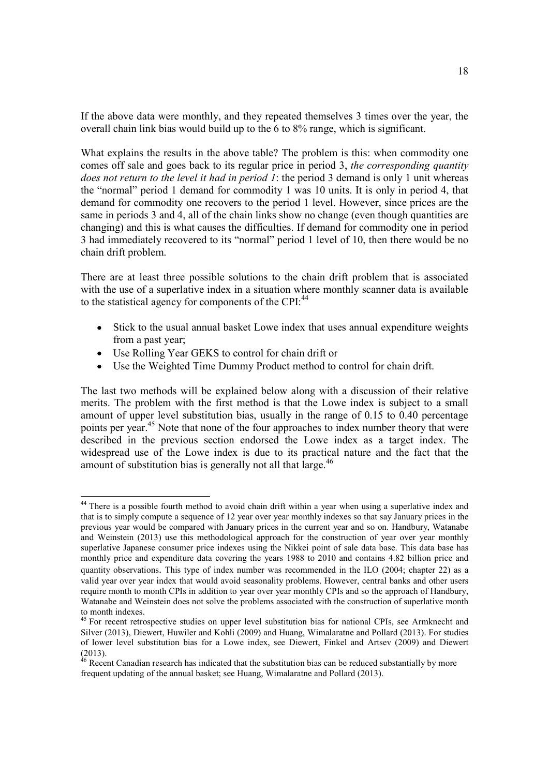If the above data were monthly, and they repeated themselves 3 times over the year, the overall chain link bias would build up to the 6 to 8% range, which is significant.

What explains the results in the above table? The problem is this: when commodity one comes off sale and goes back to its regular price in period 3, *the corresponding quantity does not return to the level it had in period 1*: the period 3 demand is only 1 unit whereas the "normal" period 1 demand for commodity 1 was 10 units. It is only in period 4, that demand for commodity one recovers to the period 1 level. However, since prices are the same in periods 3 and 4, all of the chain links show no change (even though quantities are changing) and this is what causes the difficulties. If demand for commodity one in period 3 had immediately recovered to its "normal" period 1 level of 10, then there would be no chain drift problem.

There are at least three possible solutions to the chain drift problem that is associated with the use of a superlative index in a situation where monthly scanner data is available to the statistical agency for components of the CPI:<sup>44</sup>

- Stick to the usual annual basket Lowe index that uses annual expenditure weights  $\bullet$ from a past year;
- Use Rolling Year GEKS to control for chain drift or
- Use the Weighted Time Dummy Product method to control for chain drift.

The last two methods will be explained below along with a discussion of their relative merits. The problem with the first method is that the Lowe index is subject to a small amount of upper level substitution bias, usually in the range of 0.15 to 0.40 percentage points per year.<sup>45</sup> Note that none of the four approaches to index number theory that were described in the previous section endorsed the Lowe index as a target index. The widespread use of the Lowe index is due to its practical nature and the fact that the amount of substitution bias is generally not all that large.<sup>46</sup>

<sup>&</sup>lt;sup>44</sup> There is a possible fourth method to avoid chain drift within a year when using a superlative index and that is to simply compute a sequence of 12 year over year monthly indexes so that say January prices in the previous year would be compared with January prices in the current year and so on. Handbury, Watanabe and Weinstein (2013) use this methodological approach for the construction of year over year monthly superlative Japanese consumer price indexes using the Nikkei point of sale data base. This data base has monthly price and expenditure data covering the years 1988 to 2010 and contains 4.82 billion price and quantity observations. This type of index number was recommended in the ILO (2004; chapter 22) as a valid year over year index that would avoid seasonality problems. However, central banks and other users require month to month CPIs in addition to year over year monthly CPIs and so the approach of Handbury, Watanabe and Weinstein does not solve the problems associated with the construction of superlative month

to month indexes.<br><sup>45</sup> For recent retrospective studies on upper level substitution bias for national CPIs, see Armknecht and Silver (2013), Diewert, Huwiler and Kohli (2009) and Huang, Wimalaratne and Pollard (2013). For studies of lower level substitution bias for a Lowe index, see Diewert, Finkel and Artsev (2009) and Diewert (2013).

 $46$  Recent Canadian research has indicated that the substitution bias can be reduced substantially by more frequent updating of the annual basket; see Huang, Wimalaratne and Pollard (2013).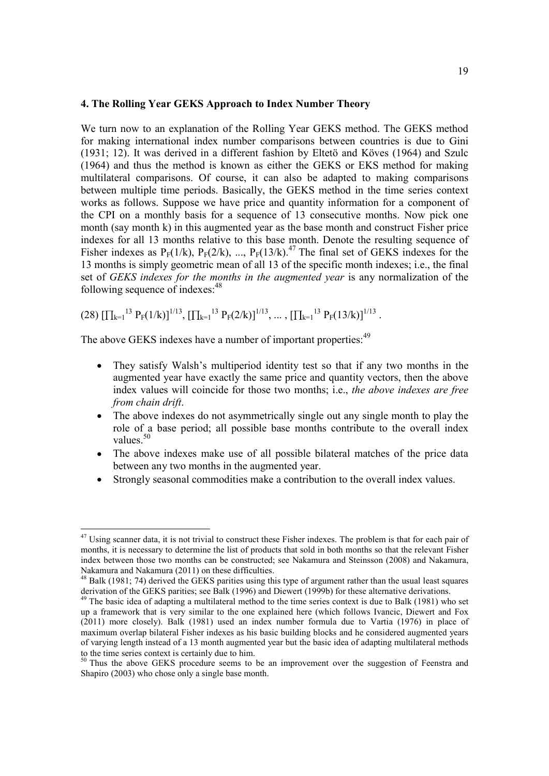#### **4. The Rolling Year GEKS Approach to Index Number Theory**

We turn now to an explanation of the Rolling Year GEKS method. The GEKS method for making international index number comparisons between countries is due to Gini (1931; 12). It was derived in a different fashion by Eltetö and Köves (1964) and Szulc (1964) and thus the method is known as either the GEKS or EKS method for making multilateral comparisons. Of course, it can also be adapted to making comparisons between multiple time periods. Basically, the GEKS method in the time series context works as follows. Suppose we have price and quantity information for a component of the CPI on a monthly basis for a sequence of 13 consecutive months. Now pick one month (say month k) in this augmented year as the base month and construct Fisher price indexes for all 13 months relative to this base month. Denote the resulting sequence of Fisher indexes as  $P_F(1/k)$ ,  $P_F(2/k)$ , ...,  $P_F(13/k)$ .<sup>47</sup> The final set of GEKS indexes for the 13 months is simply geometric mean of all 13 of the specific month indexes; i.e., the final set of *GEKS indexes for the months in the augmented year* is any normalization of the following sequence of indexes: 48

 $(28)$   $[\prod_{k=1}^{13} P_F(1/k)]^{1/13}$ ,  $[\prod_{k=1}^{13} P_F(2/k)]^{1/13}$ , ...,  $[\prod_{k=1}^{13} P_F(13/k)]^{1/13}$ .

The above GEKS indexes have a number of important properties:<sup>49</sup>

- They satisfy Walsh's multiperiod identity test so that if any two months in the augmented year have exactly the same price and quantity vectors, then the above index values will coincide for those two months; i.e., *the above indexes are free from chain drift*.
- The above indexes do not asymmetrically single out any single month to play the role of a base period; all possible base months contribute to the overall index values.<sup>50</sup>
- The above indexes make use of all possible bilateral matches of the price data  $\bullet$ between any two months in the augmented year.
- Strongly seasonal commodities make a contribution to the overall index values.

<sup>&</sup>lt;sup>47</sup> Using scanner data, it is not trivial to construct these Fisher indexes. The problem is that for each pair of months, it is necessary to determine the list of products that sold in both months so that the relevant Fisher index between those two months can be constructed; see Nakamura and Steinsson (2008) and Nakamura, Nakamura and Nakamura (2011) on these difficulties.

<sup>&</sup>lt;sup>48</sup> Balk (1981; 74) derived the GEKS parities using this type of argument rather than the usual least squares derivation of the GEKS parities; see Balk (1996) and Diewert (1999b) for these alternative derivations.

<sup>&</sup>lt;sup>49</sup> The basic idea of adapting a multilateral method to the time series context is due to Balk (1981) who set up a framework that is very similar to the one explained here (which follows Ivancic, Diewert and Fox (2011) more closely). Balk (1981) used an index number formula due to Vartia (1976) in place of maximum overlap bilateral Fisher indexes as his basic building blocks and he considered augmented years of varying length instead of a 13 month augmented year but the basic idea of adapting multilateral methods to the time series context is certainly due to him.

<sup>&</sup>lt;sup>50</sup> Thus the above GEKS procedure seems to be an improvement over the suggestion of Feenstra and Shapiro (2003) who chose only a single base month.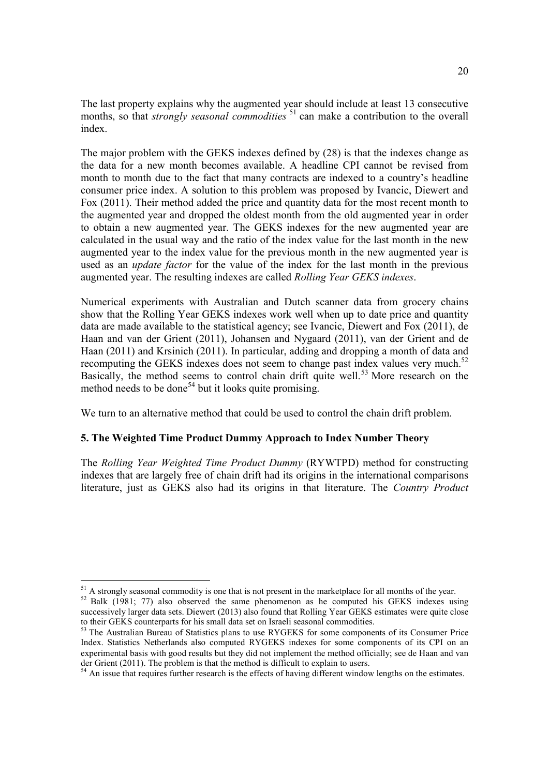The last property explains why the augmented year should include at least 13 consecutive months, so that *strongly seasonal commodities* 51 can make a contribution to the overall index.

The major problem with the GEKS indexes defined by (28) is that the indexes change as the data for a new month becomes available. A headline CPI cannot be revised from month to month due to the fact that many contracts are indexed to a country's headline consumer price index. A solution to this problem was proposed by Ivancic, Diewert and Fox (2011). Their method added the price and quantity data for the most recent month to the augmented year and dropped the oldest month from the old augmented year in order to obtain a new augmented year. The GEKS indexes for the new augmented year are calculated in the usual way and the ratio of the index value for the last month in the new augmented year to the index value for the previous month in the new augmented year is used as an *update factor* for the value of the index for the last month in the previous augmented year. The resulting indexes are called *Rolling Year GEKS indexes*.

Numerical experiments with Australian and Dutch scanner data from grocery chains show that the Rolling Year GEKS indexes work well when up to date price and quantity data are made available to the statistical agency; see Ivancic, Diewert and Fox (2011), de Haan and van der Grient (2011), Johansen and Nygaard (2011), van der Grient and de Haan (2011) and Krsinich (2011). In particular, adding and dropping a month of data and recomputing the GEKS indexes does not seem to change past index values very much.<sup>52</sup> Basically, the method seems to control chain drift quite well.<sup>53</sup> More research on the method needs to be done<sup>54</sup> but it looks quite promising.

We turn to an alternative method that could be used to control the chain drift problem.

# **5. The Weighted Time Product Dummy Approach to Index Number Theory**

The *Rolling Year Weighted Time Product Dummy* (RYWTPD) method for constructing indexes that are largely free of chain drift had its origins in the international comparisons literature, just as GEKS also had its origins in that literature. The *Country Product*

<sup>&</sup>lt;sup>51</sup> A strongly seasonal commodity is one that is not present in the marketplace for all months of the year.

<sup>&</sup>lt;sup>52</sup> Balk (1981; 77) also observed the same phenomenon as he computed his GEKS indexes using successively larger data sets. Diewert (2013) also found that Rolling Year GEKS estimates were quite close to their GEKS counterparts for his small data set on Israeli seasonal commodities.

<sup>&</sup>lt;sup>53</sup> The Australian Bureau of Statistics plans to use RYGEKS for some components of its Consumer Price Index. Statistics Netherlands also computed RYGEKS indexes for some components of its CPI on an experimental basis with good results but they did not implement the method officially; see de Haan and van der Grient (2011). The problem is that the method is difficult to explain to users.

<sup>&</sup>lt;sup>54</sup> An issue that requires further research is the effects of having different window lengths on the estimates.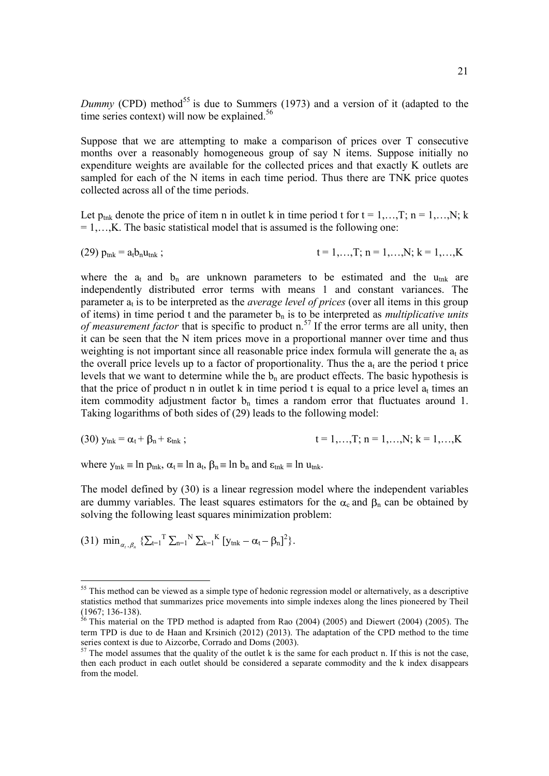Dummy (CPD) method<sup>55</sup> is due to Summers (1973) and a version of it (adapted to the time series context) will now be explained.<sup>56</sup>

Suppose that we are attempting to make a comparison of prices over T consecutive months over a reasonably homogeneous group of say N items. Suppose initially no expenditure weights are available for the collected prices and that exactly K outlets are sampled for each of the N items in each time period. Thus there are TNK price quotes collected across all of the time periods.

Let  $p_{\text{trik}}$  denote the price of item n in outlet k in time period t for  $t = 1, \ldots, T$ ;  $n = 1, \ldots, N$ ; k  $= 1,...,K$ . The basic statistical model that is assumed is the following one:

(29) 
$$
p_{\text{tnk}} = a_t b_n u_{\text{tnk}}
$$
;  $t = 1,...,T; n = 1,...,N; k = 1,...,K$ 

where the  $a_t$  and  $b_n$  are unknown parameters to be estimated and the  $u_{tnk}$  are independently distributed error terms with means 1 and constant variances. The parameter  $a_t$  is to be interpreted as the *average level of prices* (over all items in this group of items) in time period t and the parameter  $b_n$  is to be interpreted as *multiplicative units of measurement factor* that is specific to product n. 57 If the error terms are all unity, then it can be seen that the N item prices move in a proportional manner over time and thus weighting is not important since all reasonable price index formula will generate the  $a_t$  as the overall price levels up to a factor of proportionality. Thus the  $a_t$  are the period t price levels that we want to determine while the  $b_n$  are product effects. The basic hypothesis is that the price of product n in outlet k in time period t is equal to a price level  $a_t$  times an item commodity adjustment factor  $b_n$  times a random error that fluctuates around 1. Taking logarithms of both sides of (29) leads to the following model:

(30) 
$$
y_{\text{tnk}} = \alpha_t + \beta_n + \varepsilon_{\text{tnk}}
$$
;  $t = 1,...,T; n = 1,...,N; k = 1,...,K$ 

where  $y_{\text{tnk}} \equiv \ln p_{\text{tnk}}$ ,  $\alpha_t \equiv \ln a_t$ ,  $\beta_n \equiv \ln b_n$  and  $\epsilon_{\text{tnk}} \equiv \ln u_{\text{tnk}}$ .

The model defined by (30) is a linear regression model where the independent variables are dummy variables. The least squares estimators for the  $\alpha_c$  and  $\beta_n$  can be obtained by solving the following least squares minimization problem:

(31)  $\min_{\alpha_t, \beta_n} \left\{ \sum_{t=1}^T \sum_{n=1}^N \sum_{k=1}^K \left[ y_{tnk} - \alpha_t - \beta_n \right]^2 \right\}.$ 

<sup>&</sup>lt;sup>55</sup> This method can be viewed as a simple type of hedonic regression model or alternatively, as a descriptive statistics method that summarizes price movements into simple indexes along the lines pioneered by Theil (1967; 136-138).

 $56$  This material on the TPD method is adapted from Rao (2004) (2005) and Diewert (2004) (2005). The term TPD is due to de Haan and Krsinich (2012) (2013). The adaptation of the CPD method to the time series context is due to Aizcorbe, Corrado and Doms (2003).

 $57$  The model assumes that the quality of the outlet k is the same for each product n. If this is not the case, then each product in each outlet should be considered a separate commodity and the k index disappears from the model.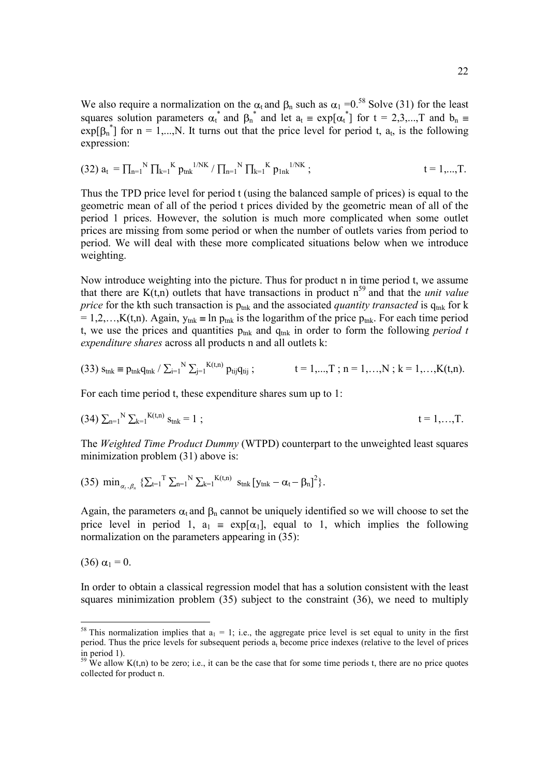We also require a normalization on the  $\alpha_t$  and  $\beta_n$  such as  $\alpha_1 = 0.58$  Solve (31) for the least squares solution parameters  $\alpha_t^*$  and  $\beta_n^*$  and let  $a_t \equiv \exp[\alpha_t^*]$  for  $t = 2,3,...,T$  and  $b_n$  $exp[\beta_n^{\dagger}]$  for n = 1,..., N. It turns out that the price level for period t, a<sub>t</sub>, is the following expression:

(32) 
$$
a_t = \prod_{n=1}^{N} \prod_{k=1}^{K} p_{tnk}^{1/NK} / \prod_{n=1}^{N} \prod_{k=1}^{K} p_{1nk}^{1/NK}
$$
;  $t = 1,...,T$ .

Thus the TPD price level for period t (using the balanced sample of prices) is equal to the geometric mean of all of the period t prices divided by the geometric mean of all of the period 1 prices. However, the solution is much more complicated when some outlet prices are missing from some period or when the number of outlets varies from period to period. We will deal with these more complicated situations below when we introduce weighting.

Now introduce weighting into the picture. Thus for product n in time period t, we assume that there are  $K(t, n)$  outlets that have transactions in product  $n^{59}$  and that the *unit value price* for the kth such transaction is  $p_{\text{tnk}}$  and the associated *quantity transacted* is  $q_{\text{tnk}}$  for k  $= 1, 2, \ldots, K(t, n)$ . Again,  $y_{tnk} \equiv \ln p_{tnk}$  is the logarithm of the price  $p_{tnk}$ . For each time period t, we use the prices and quantities  $p_{tnk}$  and  $q_{tnk}$  in order to form the following *period t expenditure shares* across all products n and all outlets k:

$$
(33) s_{tnk} = p_{tnk} q_{tnk} / \sum_{i=1}^{N} \sum_{j=1}^{K(t,n)} p_{tij} q_{tij} ; \qquad t = 1,...,T ; n = 1,...,N ; k = 1,...,K(t,n).
$$

For each time period t, these expenditure shares sum up to 1:

$$
(34) \sum_{n=1}^{N} \sum_{k=1}^{K(t,n)} s_{tnk} = 1 ; \qquad t = 1,...,T.
$$

The *Weighted Time Product Dummy* (WTPD) counterpart to the unweighted least squares minimization problem (31) above is:

(35) 
$$
\min_{\alpha_t, \beta_n} \left\{ \sum_{t=1}^T \sum_{n=1}^N \sum_{k=1}^{K(t,n)} s_{tnk} \left[ y_{tnk} - \alpha_t - \beta_n \right]^2 \right\}.
$$

Again, the parameters  $\alpha_t$  and  $\beta_n$  cannot be uniquely identified so we will choose to set the price level in period 1,  $a_1 = \exp[\alpha_1]$ , equal to 1, which implies the following normalization on the parameters appearing in (35):

(36)  $\alpha_1 = 0$ .

In order to obtain a classical regression model that has a solution consistent with the least squares minimization problem (35) subject to the constraint (36), we need to multiply

<sup>&</sup>lt;sup>58</sup> This normalization implies that  $a_1 = 1$ ; i.e., the aggregate price level is set equal to unity in the first period. Thus the price levels for subsequent periods  $a_t$  become price indexes (relative to the level of prices in period 1).

 $59$  We allow K(t,n) to be zero; i.e., it can be the case that for some time periods t, there are no price quotes collected for product n.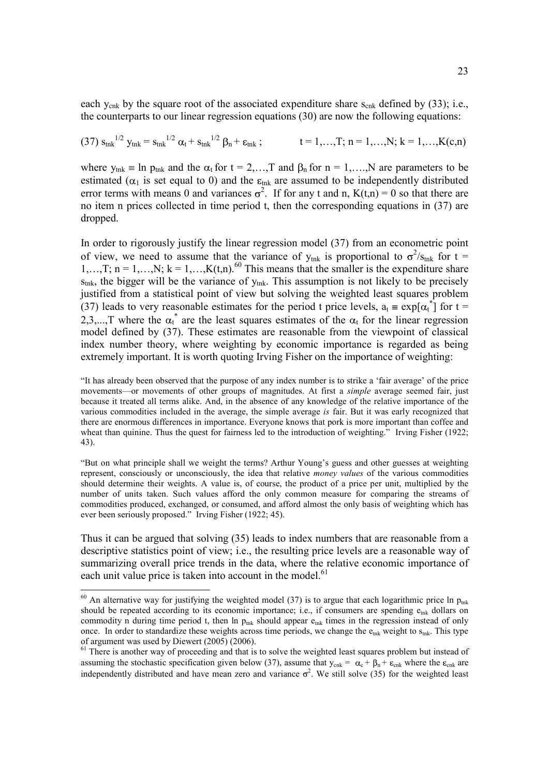each  $y_{cnk}$  by the square root of the associated expenditure share  $s_{cnk}$  defined by (33); i.e., the counterparts to our linear regression equations (30) are now the following equations:

$$
(37) s_{\text{trk}}^{1/2} y_{\text{trk}} = s_{\text{trk}}^{1/2} \alpha_t + s_{\text{trk}}^{1/2} \beta_n + \epsilon_{\text{trk}} ; \qquad t = 1,...,T; n = 1,...,N; k = 1,...,K(c,n)
$$

where  $y_{nk} = \ln p_{unk}$  and the  $\alpha_t$  for  $t = 2,...,T$  and  $\beta_n$  for  $n = 1,...,N$  are parameters to be estimated ( $\alpha_1$  is set equal to 0) and the  $\varepsilon_{\text{tnk}}$  are assumed to be independently distributed error terms with means 0 and variances  $\sigma^2$ . If for any t and n, K(t,n) = 0 so that there are no item n prices collected in time period t, then the corresponding equations in (37) are dropped.

In order to rigorously justify the linear regression model (37) from an econometric point of view, we need to assume that the variance of  $y_{mk}$  is proportional to  $\sigma^2/s_{mk}$  for  $t =$  $1,...,T; n = 1,...,N; k = 1,...,K(t,n).$ <sup>60</sup> This means that the smaller is the expenditure share  $s<sub>tnk</sub>$ , the bigger will be the variance of  $y<sub>tnk</sub>$ . This assumption is not likely to be precisely justified from a statistical point of view but solving the weighted least squares problem (37) leads to very reasonable estimates for the period t price levels,  $a_t = \exp[\alpha_t^*]$  for  $t =$ 2,3,...,T where the  $\alpha_t^*$  are the least squares estimates of the  $\alpha_t$  for the linear regression model defined by (37). These estimates are reasonable from the viewpoint of classical index number theory, where weighting by economic importance is regarded as being extremely important. It is worth quoting Irving Fisher on the importance of weighting:

"It has already been observed that the purpose of any index number is to strike a 'fair average' of the price movements—or movements of other groups of magnitudes. At first a *simple* average seemed fair, just because it treated all terms alike. And, in the absence of any knowledge of the relative importance of the various commodities included in the average, the simple average *is* fair. But it was early recognized that there are enormous differences in importance. Everyone knows that pork is more important than coffee and wheat than quinine. Thus the quest for fairness led to the introduction of weighting." Irving Fisher (1922; 43).

"But on what principle shall we weight the terms? Arthur Young's guess and other guesses at weighting represent, consciously or unconsciously, the idea that relative *money values* of the various commodities should determine their weights. A value is, of course, the product of a price per unit, multiplied by the number of units taken. Such values afford the only common measure for comparing the streams of commodities produced, exchanged, or consumed, and afford almost the only basis of weighting which has ever been seriously proposed." Irving Fisher (1922; 45).

Thus it can be argued that solving (35) leads to index numbers that are reasonable from a descriptive statistics point of view; i.e., the resulting price levels are a reasonable way of summarizing overall price trends in the data, where the relative economic importance of each unit value price is taken into account in the model.<sup>61</sup>

<sup>&</sup>lt;sup>60</sup> An alternative way for justifying the weighted model (37) is to argue that each logarithmic price ln  $p_{unk}$ should be repeated according to its economic importance; i.e., if consumers are spending  $e_{nk}$  dollars on commodity n during time period t, then ln  $p_{\text{tnk}}$  should appear  $e_{\text{tnk}}$  times in the regression instead of only once. In order to standardize these weights across time periods, we change the  $e_{mk}$  weight to  $s_{mk}$ . This type of argument was used by Diewert (2005) (2006).

<sup>&</sup>lt;sup>61</sup> There is another way of proceeding and that is to solve the weighted least squares problem but instead of assuming the stochastic specification given below (37), assume that  $y_{cnk} = \alpha_c + \beta_n + \varepsilon_{cnk}$  where the  $\varepsilon_{cnk}$  are independently distributed and have mean zero and variance  $\sigma^2$ . We still solve (35) for the weighted least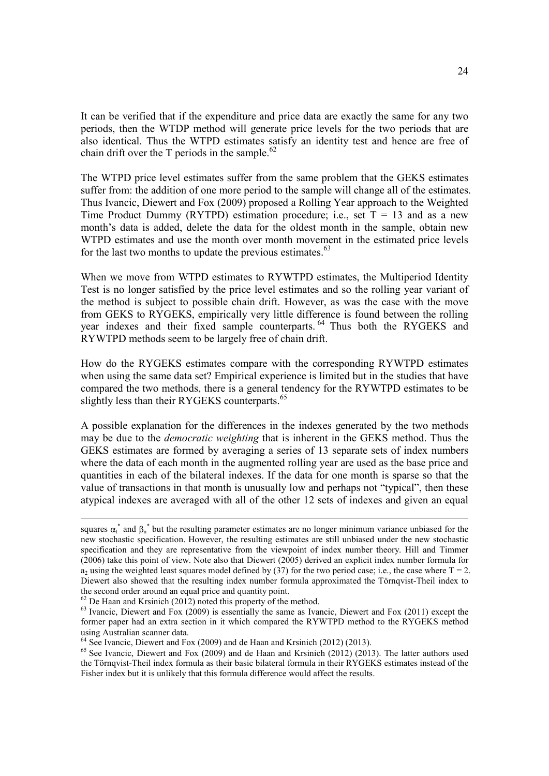It can be verified that if the expenditure and price data are exactly the same for any two periods, then the WTDP method will generate price levels for the two periods that are also identical. Thus the WTPD estimates satisfy an identity test and hence are free of chain drift over the T periods in the sample.<sup>62</sup>

The WTPD price level estimates suffer from the same problem that the GEKS estimates suffer from: the addition of one more period to the sample will change all of the estimates. Thus Ivancic, Diewert and Fox (2009) proposed a Rolling Year approach to the Weighted Time Product Dummy (RYTPD) estimation procedure; i.e., set  $T = 13$  and as a new month's data is added, delete the data for the oldest month in the sample, obtain new WTPD estimates and use the month over month movement in the estimated price levels for the last two months to update the previous estimates.<sup>63</sup>

When we move from WTPD estimates to RYWTPD estimates, the Multiperiod Identity Test is no longer satisfied by the price level estimates and so the rolling year variant of the method is subject to possible chain drift. However, as was the case with the move from GEKS to RYGEKS, empirically very little difference is found between the rolling year indexes and their fixed sample counterparts. <sup>64</sup> Thus both the RYGEKS and RYWTPD methods seem to be largely free of chain drift.

How do the RYGEKS estimates compare with the corresponding RYWTPD estimates when using the same data set? Empirical experience is limited but in the studies that have compared the two methods, there is a general tendency for the RYWTPD estimates to be slightly less than their RYGEKS counterparts.<sup>65</sup>

A possible explanation for the differences in the indexes generated by the two methods may be due to the *democratic weighting* that is inherent in the GEKS method. Thus the GEKS estimates are formed by averaging a series of 13 separate sets of index numbers where the data of each month in the augmented rolling year are used as the base price and quantities in each of the bilateral indexes. If the data for one month is sparse so that the value of transactions in that month is unusually low and perhaps not "typical", then these atypical indexes are averaged with all of the other 12 sets of indexes and given an equal

squares  $\alpha_t^*$  and  $\beta_n^*$  but the resulting parameter estimates are no longer minimum variance unbiased for the new stochastic specification. However, the resulting estimates are still unbiased under the new stochastic specification and they are representative from the viewpoint of index number theory. Hill and Timmer (2006) take this point of view. Note also that Diewert (2005) derived an explicit index number formula for a<sub>2</sub> using the weighted least squares model defined by (37) for the two period case; i.e., the case where  $T = 2$ . Diewert also showed that the resulting index number formula approximated the Törnqvist-Theil index to the second order around an equal price and quantity point.

 $62$  De Haan and Krsinich (2012) noted this property of the method.

<sup>&</sup>lt;sup>63</sup> Ivancic, Diewert and Fox (2009) is essentially the same as Ivancic, Diewert and Fox (2011) except the former paper had an extra section in it which compared the RYWTPD method to the RYGEKS method using Australian scanner data. 64 See Ivancic, Diewert and Fox (2009) and de Haan and Krsinich (2012) (2013).

 $65$  See Ivancic, Diewert and Fox (2009) and de Haan and Krsinich (2012) (2013). The latter authors used the Törnqvist-Theil index formula as their basic bilateral formula in their RYGEKS estimates instead of the Fisher index but it is unlikely that this formula difference would affect the results.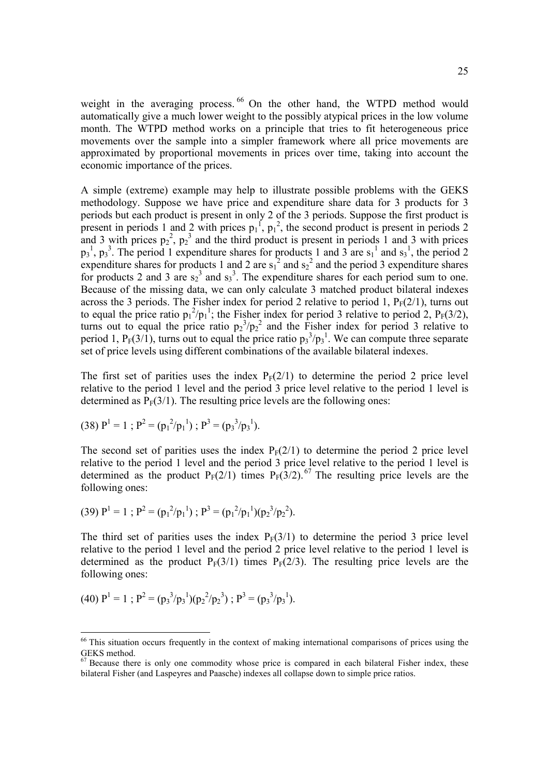weight in the averaging process. <sup>66</sup> On the other hand, the WTPD method would automatically give a much lower weight to the possibly atypical prices in the low volume month. The WTPD method works on a principle that tries to fit heterogeneous price movements over the sample into a simpler framework where all price movements are approximated by proportional movements in prices over time, taking into account the economic importance of the prices.

A simple (extreme) example may help to illustrate possible problems with the GEKS methodology. Suppose we have price and expenditure share data for 3 products for 3 periods but each product is present in only 2 of the 3 periods. Suppose the first product is present in periods 1 and 2 with prices  $p_1^f$ ,  $p_1^2$ , the second product is present in periods 2 and 3 with prices  $p_2^2$ ,  $p_2^3$  and the third product is present in periods 1 and 3 with prices  $p_3^1$ ,  $p_3^3$ . The period 1 expenditure shares for products 1 and 3 are  $s_1^1$  and  $s_3^1$ , the period 2 expenditure shares for products 1 and 2 are  $s_1^2$  and  $s_2^2$  and the period 3 expenditure shares for products 2 and 3 are  $s_2^3$  and  $s_3^3$ . The expenditure shares for each period sum to one. Because of the missing data, we can only calculate 3 matched product bilateral indexes across the 3 periods. The Fisher index for period 2 relative to period 1,  $P_F(2/1)$ , turns out to equal the price ratio  $p_1^2/p_1^1$ ; the Fisher index for period 3 relative to period 2,  $P_F(3/2)$ , turns out to equal the price ratio  $p_2^3/p_2^2$  and the Fisher index for period 3 relative to period 1,  $P_F(3/1)$ , turns out to equal the price ratio  $p_3^3/p_3^1$ . We can compute three separate set of price levels using different combinations of the available bilateral indexes.

The first set of parities uses the index  $P_F(2/1)$  to determine the period 2 price level relative to the period 1 level and the period 3 price level relative to the period 1 level is determined as  $P_F(3/1)$ . The resulting price levels are the following ones:

(38) 
$$
P^1 = 1
$$
;  $P^2 = (p_1^2/p_1^1)$ ;  $P^3 = (p_3^3/p_3^1)$ .

The second set of parities uses the index  $P_F(2/1)$  to determine the period 2 price level relative to the period 1 level and the period 3 price level relative to the period 1 level is determined as the product  $P_F(2/1)$  times  $P_F(3/2)$ .<sup>67</sup> The resulting price levels are the following ones:

(39) 
$$
P^1 = 1
$$
;  $P^2 = (p_1^2/p_1^1)$ ;  $P^3 = (p_1^2/p_1^1)(p_2^3/p_2^2)$ .

The third set of parities uses the index  $P_F(3/1)$  to determine the period 3 price level relative to the period 1 level and the period 2 price level relative to the period 1 level is determined as the product  $P_F(3/1)$  times  $P_F(2/3)$ . The resulting price levels are the following ones:

(40) 
$$
P^1 = 1
$$
;  $P^2 = (p_3^3/p_3^1)(p_2^2/p_2^3)$ ;  $P^3 = (p_3^3/p_3^1)$ .

<sup>&</sup>lt;sup>66</sup> This situation occurs frequently in the context of making international comparisons of prices using the GEKS method.

 $67$  Because there is only one commodity whose price is compared in each bilateral Fisher index, these bilateral Fisher (and Laspeyres and Paasche) indexes all collapse down to simple price ratios.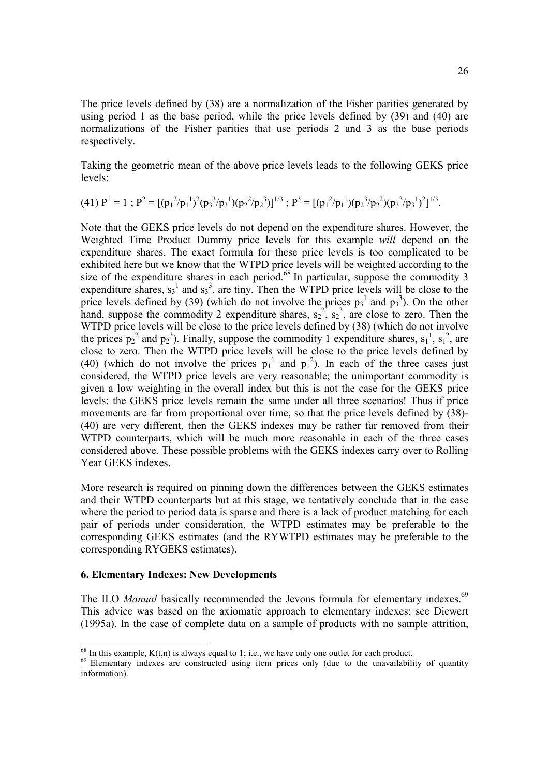The price levels defined by (38) are a normalization of the Fisher parities generated by using period 1 as the base period, while the price levels defined by (39) and (40) are normalizations of the Fisher parities that use periods 2 and 3 as the base periods respectively.

Taking the geometric mean of the above price levels leads to the following GEKS price levels:

$$
(41) P1 = 1 ; P2 = [(p12/p11)2(p33/p31)(p22/p23)]1/3 ; P3 = [(p12/p11)(p23/p22)(p33/p31)2]1/3.
$$

Note that the GEKS price levels do not depend on the expenditure shares. However, the Weighted Time Product Dummy price levels for this example *will* depend on the expenditure shares. The exact formula for these price levels is too complicated to be exhibited here but we know that the WTPD price levels will be weighted according to the size of the expenditure shares in each period.<sup>68</sup> In particular, suppose the commodity 3 expenditure shares,  $s_3$ <sup>1</sup> and  $s_3$ <sup>3</sup>, are tiny. Then the WTPD price levels will be close to the price levels defined by (39) (which do not involve the prices  $p_3^1$  and  $p_3^3$ ). On the other hand, suppose the commodity 2 expenditure shares,  $s_2^2$ ,  $s_2^3$ , are close to zero. Then the WTPD price levels will be close to the price levels defined by (38) (which do not involve the prices  $p_2^2$  and  $p_2^3$ ). Finally, suppose the commodity 1 expenditure shares,  $s_1^1$ ,  $s_1^2$ , are close to zero. Then the WTPD price levels will be close to the price levels defined by (40) (which do not involve the prices  $p_1^1$  and  $p_1^2$ ). In each of the three cases just considered, the WTPD price levels are very reasonable; the unimportant commodity is given a low weighting in the overall index but this is not the case for the GEKS price levels: the GEKS price levels remain the same under all three scenarios! Thus if price movements are far from proportional over time, so that the price levels defined by (38)- (40) are very different, then the GEKS indexes may be rather far removed from their WTPD counterparts, which will be much more reasonable in each of the three cases considered above. These possible problems with the GEKS indexes carry over to Rolling Year GEKS indexes.

More research is required on pinning down the differences between the GEKS estimates and their WTPD counterparts but at this stage, we tentatively conclude that in the case where the period to period data is sparse and there is a lack of product matching for each pair of periods under consideration, the WTPD estimates may be preferable to the corresponding GEKS estimates (and the RYWTPD estimates may be preferable to the corresponding RYGEKS estimates).

#### **6. Elementary Indexes: New Developments**

The ILO *Manual* basically recommended the Jevons formula for elementary indexes.<sup>69</sup> This advice was based on the axiomatic approach to elementary indexes; see Diewert (1995a). In the case of complete data on a sample of products with no sample attrition,

<sup>&</sup>lt;sup>68</sup> In this example,  $K(t,n)$  is always equal to 1; i.e., we have only one outlet for each product.

<sup>&</sup>lt;sup>69</sup> Elementary indexes are constructed using item prices only (due to the unavailability of quantity information).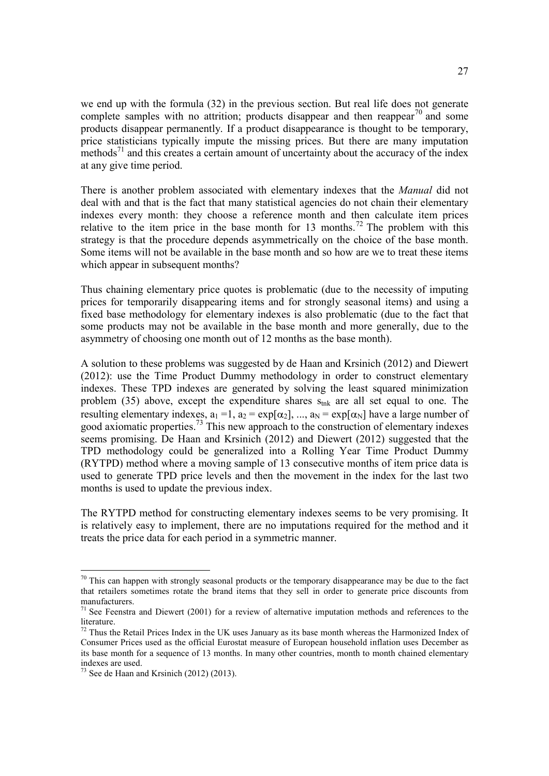we end up with the formula (32) in the previous section. But real life does not generate complete samples with no attrition; products disappear and then reappear<sup>70</sup> and some products disappear permanently. If a product disappearance is thought to be temporary, price statisticians typically impute the missing prices. But there are many imputation methods<sup>71</sup> and this creates a certain amount of uncertainty about the accuracy of the index at any give time period.

There is another problem associated with elementary indexes that the *Manual* did not deal with and that is the fact that many statistical agencies do not chain their elementary indexes every month: they choose a reference month and then calculate item prices relative to the item price in the base month for 13 months.<sup>72</sup> The problem with this strategy is that the procedure depends asymmetrically on the choice of the base month. Some items will not be available in the base month and so how are we to treat these items which appear in subsequent months?

Thus chaining elementary price quotes is problematic (due to the necessity of imputing prices for temporarily disappearing items and for strongly seasonal items) and using a fixed base methodology for elementary indexes is also problematic (due to the fact that some products may not be available in the base month and more generally, due to the asymmetry of choosing one month out of 12 months as the base month).

A solution to these problems was suggested by de Haan and Krsinich (2012) and Diewert (2012): use the Time Product Dummy methodology in order to construct elementary indexes. These TPD indexes are generated by solving the least squared minimization problem (35) above, except the expenditure shares  $S<sub>ink</sub>$  are all set equal to one. The resulting elementary indexes,  $a_1 = 1$ ,  $a_2 = \exp[\alpha_2]$ , ...,  $a_N = \exp[\alpha_N]$  have a large number of good axiomatic properties. 73 This new approach to the construction of elementary indexes seems promising. De Haan and Krsinich (2012) and Diewert (2012) suggested that the TPD methodology could be generalized into a Rolling Year Time Product Dummy (RYTPD) method where a moving sample of 13 consecutive months of item price data is used to generate TPD price levels and then the movement in the index for the last two months is used to update the previous index.

The RYTPD method for constructing elementary indexes seems to be very promising. It is relatively easy to implement, there are no imputations required for the method and it treats the price data for each period in a symmetric manner.

 $70$  This can happen with strongly seasonal products or the temporary disappearance may be due to the fact that retailers sometimes rotate the brand items that they sell in order to generate price discounts from manufacturers.

 $71$  See Feenstra and Diewert (2001) for a review of alternative imputation methods and references to the literature.

 $<sup>72</sup>$  Thus the Retail Prices Index in the UK uses January as its base month whereas the Harmonized Index of</sup> Consumer Prices used as the official Eurostat measure of European household inflation uses December as its base month for a sequence of 13 months. In many other countries, month to month chained elementary indexes are used.

 $73$  See de Haan and Krsinich (2012) (2013).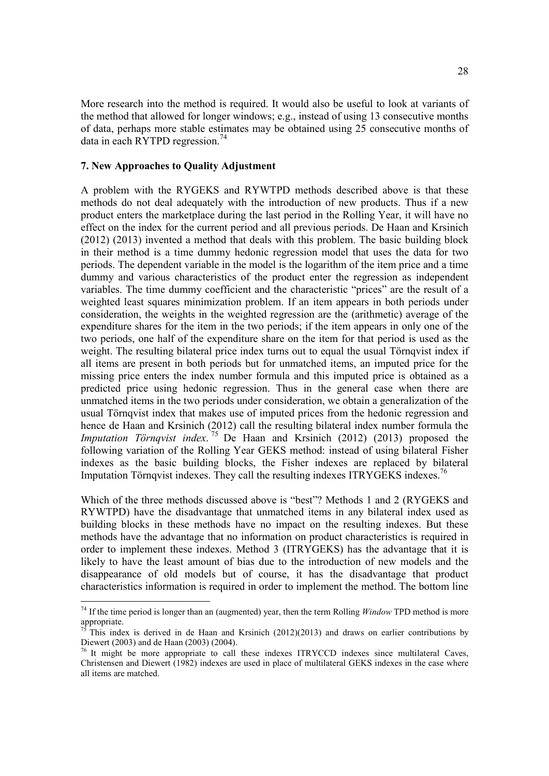More research into the method is required. It would also be useful to look at variants of the method that allowed for longer windows; e.g., instead of using 13 consecutive months of data, perhaps more stable estimates may be obtained using 25 consecutive months of data in each RYTPD regression. 74

### **7. New Approaches to Quality Adjustment**

A problem with the RYGEKS and RYWTPD methods described above is that these methods do not deal adequately with the introduction of new products. Thus if a new product enters the marketplace during the last period in the Rolling Year, it will have no effect on the index for the current period and all previous periods. De Haan and Krsinich (2012) (2013) invented a method that deals with this problem. The basic building block in their method is a time dummy hedonic regression model that uses the data for two periods. The dependent variable in the model is the logarithm of the item price and a time dummy and various characteristics of the product enter the regression as independent variables. The time dummy coefficient and the characteristic "prices" are the result of a weighted least squares minimization problem. If an item appears in both periods under consideration, the weights in the weighted regression are the (arithmetic) average of the expenditure shares for the item in the two periods; if the item appears in only one of the two periods, one half of the expenditure share on the item for that period is used as the weight. The resulting bilateral price index turns out to equal the usual Törnqvist index if all items are present in both periods but for unmatched items, an imputed price for the missing price enters the index number formula and this imputed price is obtained as a predicted price using hedonic regression. Thus in the general case when there are unmatched items in the two periods under consideration, we obtain a generalization of the usual Törnqvist index that makes use of imputed prices from the hedonic regression and hence de Haan and Krsinich (2012) call the resulting bilateral index number formula the *Imputation Törnqvist index*. <sup>75</sup> De Haan and Krsinich (2012) (2013) proposed the following variation of the Rolling Year GEKS method: instead of using bilateral Fisher indexes as the basic building blocks, the Fisher indexes are replaced by bilateral Imputation Törnqvist indexes. They call the resulting indexes ITRYGEKS indexes.<sup>76</sup>

Which of the three methods discussed above is "best"? Methods 1 and 2 (RYGEKS and RYWTPD) have the disadvantage that unmatched items in any bilateral index used as building blocks in these methods have no impact on the resulting indexes. But these methods have the advantage that no information on product characteristics is required in order to implement these indexes. Method 3 (ITRYGEKS) has the advantage that it is likely to have the least amount of bias due to the introduction of new models and the disappearance of old models but of course, it has the disadvantage that product characteristics information is required in order to implement the method. The bottom line

<sup>&</sup>lt;sup>74</sup> If the time period is longer than an (augmented) year, then the term Rolling *Window* TPD method is more appropriate.

This index is derived in de Haan and Krsinich (2012)(2013) and draws on earlier contributions by Diewert (2003) and de Haan (2003) (2004).

 $76$  It might be more appropriate to call these indexes ITRYCCD indexes since multilateral Caves, Christensen and Diewert (1982) indexes are used in place of multilateral GEKS indexes in the case where all items are matched.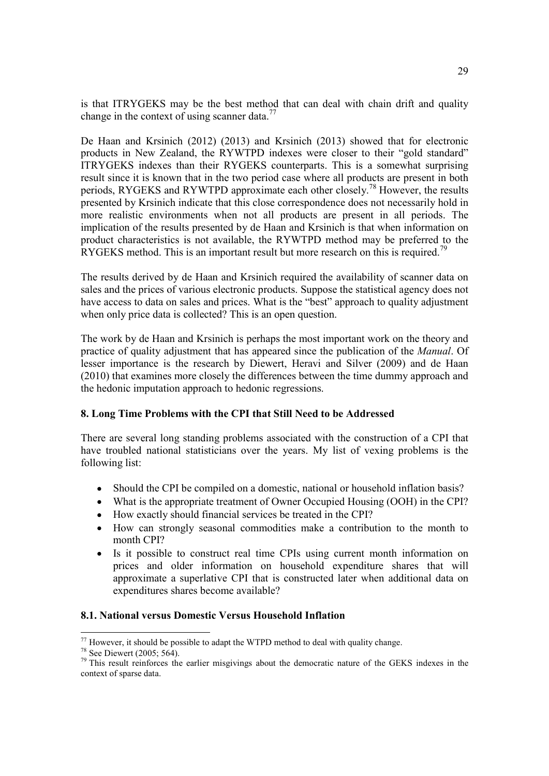is that ITRYGEKS may be the best method that can deal with chain drift and quality change in the context of using scanner data. $^{77}$ 

De Haan and Krsinich (2012) (2013) and Krsinich (2013) showed that for electronic products in New Zealand, the RYWTPD indexes were closer to their "gold standard" ITRYGEKS indexes than their RYGEKS counterparts. This is a somewhat surprising result since it is known that in the two period case where all products are present in both periods, RYGEKS and RYWTPD approximate each other closely.<sup>78</sup> However, the results presented by Krsinich indicate that this close correspondence does not necessarily hold in more realistic environments when not all products are present in all periods. The implication of the results presented by de Haan and Krsinich is that when information on product characteristics is not available, the RYWTPD method may be preferred to the RYGEKS method. This is an important result but more research on this is required.<sup>79</sup>

The results derived by de Haan and Krsinich required the availability of scanner data on sales and the prices of various electronic products. Suppose the statistical agency does not have access to data on sales and prices. What is the "best" approach to quality adjustment when only price data is collected? This is an open question.

The work by de Haan and Krsinich is perhaps the most important work on the theory and practice of quality adjustment that has appeared since the publication of the *Manual*. Of lesser importance is the research by Diewert, Heravi and Silver (2009) and de Haan (2010) that examines more closely the differences between the time dummy approach and the hedonic imputation approach to hedonic regressions.

# **8. Long Time Problems with the CPI that Still Need to be Addressed**

There are several long standing problems associated with the construction of a CPI that have troubled national statisticians over the years. My list of vexing problems is the following list:

- Should the CPI be compiled on a domestic, national or household inflation basis?
- What is the appropriate treatment of Owner Occupied Housing (OOH) in the CPI?
- How exactly should financial services be treated in the CPI?
- How can strongly seasonal commodities make a contribution to the month to month CPI?
- Is it possible to construct real time CPIs using current month information on prices and older information on household expenditure shares that will approximate a superlative CPI that is constructed later when additional data on expenditures shares become available?

# **8.1. National versus Domestic Versus Household Inflation**

<sup>&</sup>lt;sup>77</sup> However, it should be possible to adapt the WTPD method to deal with quality change.<br><sup>78</sup> See Diewert (2005; 564).

 $79$  This result reinforces the earlier misgivings about the democratic nature of the GEKS indexes in the context of sparse data.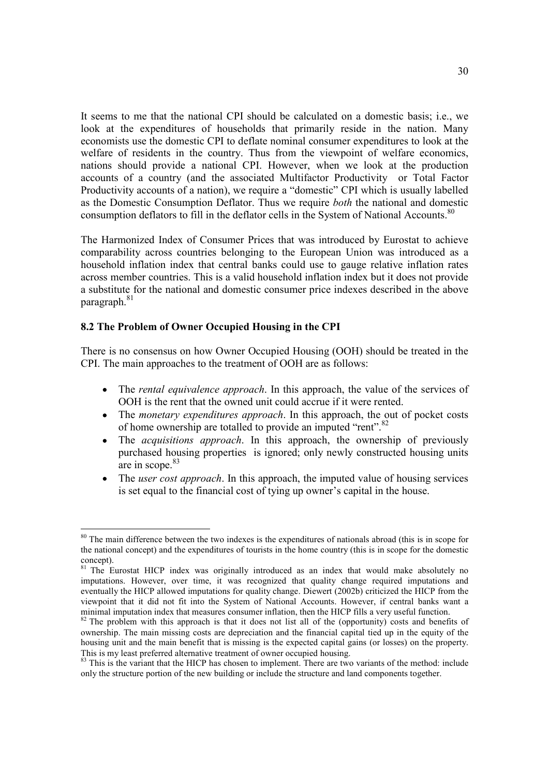It seems to me that the national CPI should be calculated on a domestic basis; i.e., we look at the expenditures of households that primarily reside in the nation. Many economists use the domestic CPI to deflate nominal consumer expenditures to look at the welfare of residents in the country. Thus from the viewpoint of welfare economics, nations should provide a national CPI. However, when we look at the production accounts of a country (and the associated Multifactor Productivity or Total Factor Productivity accounts of a nation), we require a "domestic" CPI which is usually labelled as the Domestic Consumption Deflator. Thus we require *both* the national and domestic consumption deflators to fill in the deflator cells in the System of National Accounts.<sup>80</sup>

The Harmonized Index of Consumer Prices that was introduced by Eurostat to achieve comparability across countries belonging to the European Union was introduced as a household inflation index that central banks could use to gauge relative inflation rates across member countries. This is a valid household inflation index but it does not provide a substitute for the national and domestic consumer price indexes described in the above paragraph.<sup>81</sup>

# **8.2 The Problem of Owner Occupied Housing in the CPI**

There is no consensus on how Owner Occupied Housing (OOH) should be treated in the CPI. The main approaches to the treatment of OOH are as follows:

- The *rental equivalence approach*. In this approach, the value of the services of  $\bullet$ OOH is the rent that the owned unit could accrue if it were rented.
- The *monetary expenditures approach*. In this approach, the out of pocket costs  $\bullet$ of home ownership are totalled to provide an imputed "rent".<sup>82</sup>
- The *acquisitions approach*. In this approach, the ownership of previously purchased housing properties is ignored; only newly constructed housing units are in scope.<sup>83</sup>
- The *user cost approach*. In this approach, the imputed value of housing services is set equal to the financial cost of tying up owner's capital in the house.

<sup>&</sup>lt;sup>80</sup> The main difference between the two indexes is the expenditures of nationals abroad (this is in scope for the national concept) and the expenditures of tourists in the home country (this is in scope for the domestic concept).

<sup>&</sup>lt;sup>81</sup> The Eurostat HICP index was originally introduced as an index that would make absolutely no imputations. However, over time, it was recognized that quality change required imputations and eventually the HICP allowed imputations for quality change. Diewert (2002b) criticized the HICP from the viewpoint that it did not fit into the System of National Accounts. However, if central banks want a minimal imputation index that measures consumer inflation, then the HICP fills a very useful function.

 $82$  The problem with this approach is that it does not list all of the (opportunity) costs and benefits of ownership. The main missing costs are depreciation and the financial capital tied up in the equity of the housing unit and the main benefit that is missing is the expected capital gains (or losses) on the property. This is my least preferred alternative treatment of owner occupied housing.

<sup>&</sup>lt;sup>83</sup> This is the variant that the HICP has chosen to implement. There are two variants of the method: include only the structure portion of the new building or include the structure and land components together.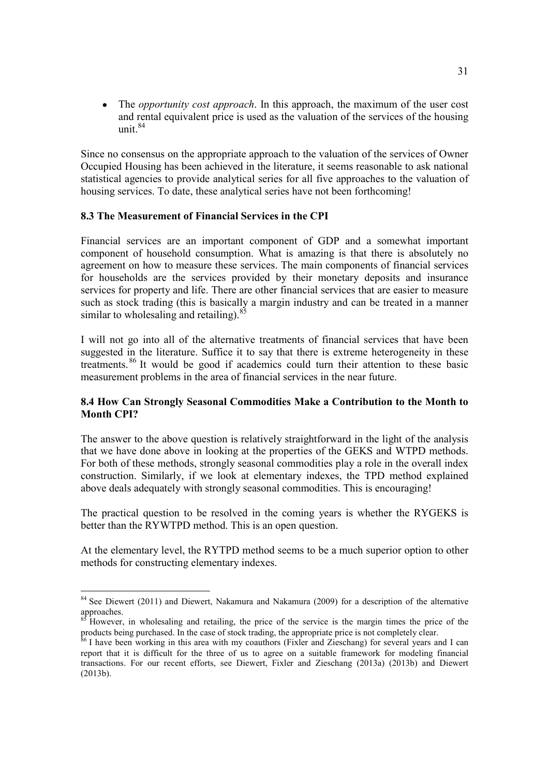The *opportunity cost approach*. In this approach, the maximum of the user cost and rental equivalent price is used as the valuation of the services of the housing unit. 84

Since no consensus on the appropriate approach to the valuation of the services of Owner Occupied Housing has been achieved in the literature, it seems reasonable to ask national statistical agencies to provide analytical series for all five approaches to the valuation of housing services. To date, these analytical series have not been forthcoming!

## **8.3 The Measurement of Financial Services in the CPI**

Financial services are an important component of GDP and a somewhat important component of household consumption. What is amazing is that there is absolutely no agreement on how to measure these services. The main components of financial services for households are the services provided by their monetary deposits and insurance services for property and life. There are other financial services that are easier to measure such as stock trading (this is basically a margin industry and can be treated in a manner similar to wholesaling and retailing).  $85$ 

I will not go into all of the alternative treatments of financial services that have been suggested in the literature. Suffice it to say that there is extreme heterogeneity in these treatments. 86 It would be good if academics could turn their attention to these basic measurement problems in the area of financial services in the near future.

# **8.4 How Can Strongly Seasonal Commodities Make a Contribution to the Month to Month CPI?**

The answer to the above question is relatively straightforward in the light of the analysis that we have done above in looking at the properties of the GEKS and WTPD methods. For both of these methods, strongly seasonal commodities play a role in the overall index construction. Similarly, if we look at elementary indexes, the TPD method explained above deals adequately with strongly seasonal commodities. This is encouraging!

The practical question to be resolved in the coming years is whether the RYGEKS is better than the RYWTPD method. This is an open question.

At the elementary level, the RYTPD method seems to be a much superior option to other methods for constructing elementary indexes.

<sup>&</sup>lt;sup>84</sup> See Diewert (2011) and Diewert, Nakamura and Nakamura (2009) for a description of the alternative approaches.

<sup>85</sup> However, in wholesaling and retailing, the price of the service is the margin times the price of the

products being purchased. In the case of stock trading, the appropriate price is not completely clear.<br><sup>86</sup> I have been working in this area with my coauthors (Fixler and Zieschang) for several years and I can report that it is difficult for the three of us to agree on a suitable framework for modeling financial transactions. For our recent efforts, see Diewert, Fixler and Zieschang (2013a) (2013b) and Diewert (2013b).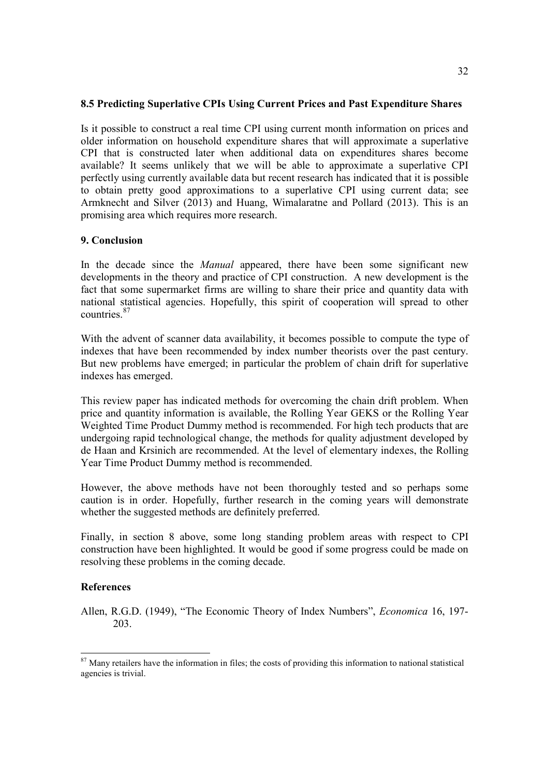## **8.5 Predicting Superlative CPIs Using Current Prices and Past Expenditure Shares**

Is it possible to construct a real time CPI using current month information on prices and older information on household expenditure shares that will approximate a superlative CPI that is constructed later when additional data on expenditures shares become available? It seems unlikely that we will be able to approximate a superlative CPI perfectly using currently available data but recent research has indicated that it is possible to obtain pretty good approximations to a superlative CPI using current data; see Armknecht and Silver (2013) and Huang, Wimalaratne and Pollard (2013). This is an promising area which requires more research.

## **9. Conclusion**

In the decade since the *Manual* appeared, there have been some significant new developments in the theory and practice of CPI construction. A new development is the fact that some supermarket firms are willing to share their price and quantity data with national statistical agencies. Hopefully, this spirit of cooperation will spread to other countries. 87

With the advent of scanner data availability, it becomes possible to compute the type of indexes that have been recommended by index number theorists over the past century. But new problems have emerged; in particular the problem of chain drift for superlative indexes has emerged.

This review paper has indicated methods for overcoming the chain drift problem. When price and quantity information is available, the Rolling Year GEKS or the Rolling Year Weighted Time Product Dummy method is recommended. For high tech products that are undergoing rapid technological change, the methods for quality adjustment developed by de Haan and Krsinich are recommended. At the level of elementary indexes, the Rolling Year Time Product Dummy method is recommended.

However, the above methods have not been thoroughly tested and so perhaps some caution is in order. Hopefully, further research in the coming years will demonstrate whether the suggested methods are definitely preferred.

Finally, in section 8 above, some long standing problem areas with respect to CPI construction have been highlighted. It would be good if some progress could be made on resolving these problems in the coming decade.

#### **References**

Allen, R.G.D. (1949), "The Economic Theory of Index Numbers", *Economica* 16, 197- 203.

 $87$  Many retailers have the information in files; the costs of providing this information to national statistical agencies is trivial.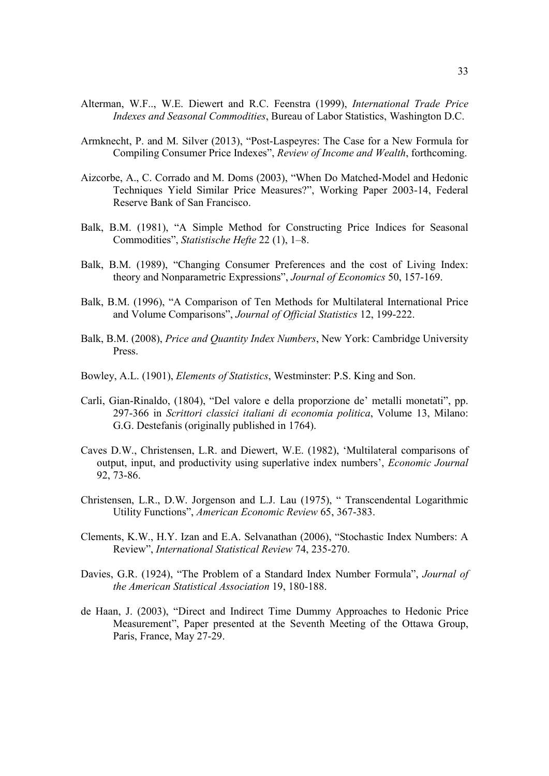- Alterman, W.F.., W.E. Diewert and R.C. Feenstra (1999), *International Trade Price Indexes and Seasonal Commodities*, Bureau of Labor Statistics, Washington D.C.
- Armknecht, P. and M. Silver (2013), "Post-Laspeyres: The Case for a New Formula for Compiling Consumer Price Indexes", *Review of Income and Wealth*, forthcoming.
- Aizcorbe, A., C. Corrado and M. Doms (2003), "When Do Matched-Model and Hedonic Techniques Yield Similar Price Measures?", Working Paper 2003-14, Federal Reserve Bank of San Francisco.
- Balk, B.M. (1981), "A Simple Method for Constructing Price Indices for Seasonal Commodities", *Statistische Hefte* 22 (1), 1–8.
- Balk, B.M. (1989), "Changing Consumer Preferences and the cost of Living Index: theory and Nonparametric Expressions", *Journal of Economics* 50, 157-169.
- Balk, B.M. (1996), "A Comparison of Ten Methods for Multilateral International Price and Volume Comparisons", *Journal of Official Statistics* 12, 199-222.
- Balk, B.M. (2008), *Price and Quantity Index Numbers*, New York: Cambridge University Press.
- Bowley, A.L. (1901), *Elements of Statistics*, Westminster: P.S. King and Son.
- Carli, Gian-Rinaldo, (1804), "Del valore e della proporzione de' metalli monetati", pp. 297-366 in *Scrittori classici italiani di economia politica*, Volume 13, Milano: G.G. Destefanis (originally published in 1764).
- Caves D.W., Christensen, L.R. and Diewert, W.E. (1982), 'Multilateral comparisons of output, input, and productivity using superlative index numbers', *Economic Journal* 92, 73-86.
- Christensen, L.R., D.W. Jorgenson and L.J. Lau (1975), " Transcendental Logarithmic Utility Functions", *American Economic Review* 65, 367-383.
- Clements, K.W., H.Y. Izan and E.A. Selvanathan (2006), "Stochastic Index Numbers: A Review", *International Statistical Review* 74, 235-270.
- Davies, G.R. (1924), "The Problem of a Standard Index Number Formula", *Journal of the American Statistical Association* 19, 180-188.
- de Haan, J. (2003), "Direct and Indirect Time Dummy Approaches to Hedonic Price Measurement", Paper presented at the Seventh Meeting of the Ottawa Group, Paris, France, May 27-29.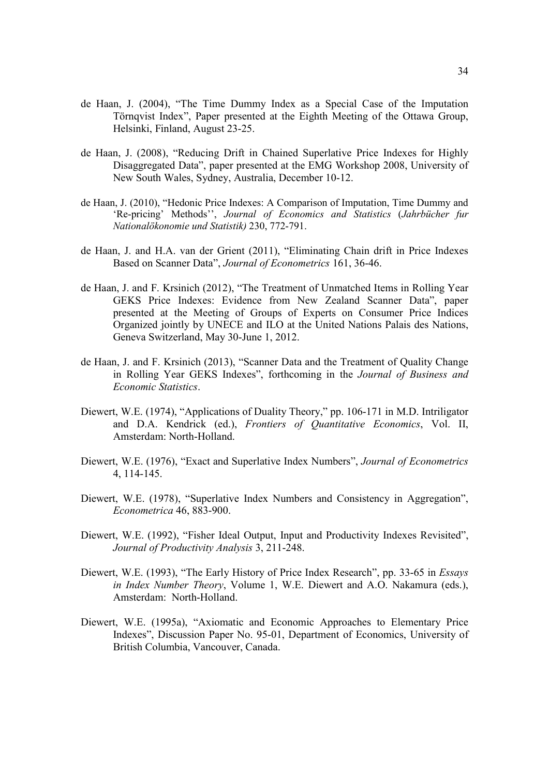- de Haan, J. (2004), "The Time Dummy Index as a Special Case of the Imputation Törnqvist Index", Paper presented at the Eighth Meeting of the Ottawa Group, Helsinki, Finland, August 23-25.
- de Haan, J. (2008), "Reducing Drift in Chained Superlative Price Indexes for Highly Disaggregated Data", paper presented at the EMG Workshop 2008, University of New South Wales, Sydney, Australia, December 10-12.
- de Haan, J. (2010), "Hedonic Price Indexes: A Comparison of Imputation, Time Dummy and 'Re-pricing' Methods'', *Journal of Economics and Statistics* (*Jahrbücher fur Nationalökonomie und Statistik)* 230, 772-791.
- de Haan, J. and H.A. van der Grient (2011), "Eliminating Chain drift in Price Indexes Based on Scanner Data", *Journal of Econometrics* 161, 36-46.
- de Haan, J. and F. Krsinich (2012), "The Treatment of Unmatched Items in Rolling Year GEKS Price Indexes: Evidence from New Zealand Scanner Data", paper presented at the Meeting of Groups of Experts on Consumer Price Indices Organized jointly by UNECE and ILO at the United Nations Palais des Nations, Geneva Switzerland, May 30-June 1, 2012.
- de Haan, J. and F. Krsinich (2013), "Scanner Data and the Treatment of Quality Change in Rolling Year GEKS Indexes", forthcoming in the *Journal of Business and Economic Statistics*.
- Diewert, W.E. (1974), "Applications of Duality Theory," pp. 106-171 in M.D. Intriligator and D.A. Kendrick (ed.), *Frontiers of Quantitative Economics*, Vol. II, Amsterdam: North-Holland.
- Diewert, W.E. (1976), "Exact and Superlative Index Numbers", *Journal of Econometrics* 4, 114-145.
- Diewert, W.E. (1978), "Superlative Index Numbers and Consistency in Aggregation", *Econometrica* 46, 883-900.
- Diewert, W.E. (1992), "Fisher Ideal Output, Input and Productivity Indexes Revisited", *Journal of Productivity Analysis* 3, 211-248.
- Diewert, W.E. (1993), "The Early History of Price Index Research", pp. 33-65 in *Essays in Index Number Theory*, Volume 1, W.E. Diewert and A.O. Nakamura (eds.), Amsterdam: North-Holland.
- Diewert, W.E. (1995a), "Axiomatic and Economic Approaches to Elementary Price Indexes", Discussion Paper No. 95-01, Department of Economics, University of British Columbia, Vancouver, Canada.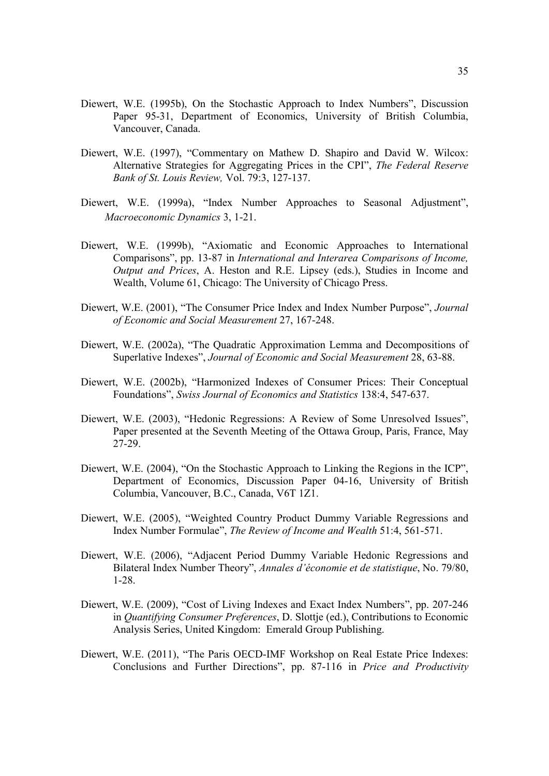- Diewert, W.E. (1995b), On the Stochastic Approach to Index Numbers", Discussion Paper 95-31, Department of Economics, University of British Columbia, Vancouver, Canada.
- Diewert, W.E. (1997), "Commentary on Mathew D. Shapiro and David W. Wilcox: Alternative Strategies for Aggregating Prices in the CPI", *The Federal Reserve Bank of St. Louis Review,* Vol. 79:3, 127-137.
- Diewert, W.E. (1999a), "Index Number Approaches to Seasonal Adjustment", *Macroeconomic Dynamics* 3, 1-21.
- Diewert, W.E. (1999b), "Axiomatic and Economic Approaches to International Comparisons", pp. 13-87 in *International and Interarea Comparisons of Income, Output and Prices*, A. Heston and R.E. Lipsey (eds.), Studies in Income and Wealth, Volume 61, Chicago: The University of Chicago Press.
- Diewert, W.E. (2001), "The Consumer Price Index and Index Number Purpose", *Journal of Economic and Social Measurement* 27, 167-248.
- Diewert, W.E. (2002a), "The Quadratic Approximation Lemma and Decompositions of Superlative Indexes", *Journal of Economic and Social Measurement* 28, 63-88.
- Diewert, W.E. (2002b), "Harmonized Indexes of Consumer Prices: Their Conceptual Foundations", *Swiss Journal of Economics and Statistics* 138:4, 547-637.
- Diewert, W.E. (2003), "Hedonic Regressions: A Review of Some Unresolved Issues", Paper presented at the Seventh Meeting of the Ottawa Group, Paris, France, May 27-29.
- Diewert, W.E. (2004), "On the Stochastic Approach to Linking the Regions in the ICP", Department of Economics, Discussion Paper 04-16, University of British Columbia, Vancouver, B.C., Canada, V6T 1Z1.
- Diewert, W.E. (2005), "Weighted Country Product Dummy Variable Regressions and Index Number Formulae", *The Review of Income and Wealth* 51:4, 561-571.
- Diewert, W.E. (2006), "Adjacent Period Dummy Variable Hedonic Regressions and Bilateral Index Number Theory", *Annales d'économie et de statistique*, No. 79/80, 1-28.
- Diewert, W.E. (2009), "Cost of Living Indexes and Exact Index Numbers", pp. 207-246 in *Quantifying Consumer Preferences*, D. Slottje (ed.), Contributions to Economic Analysis Series, United Kingdom: Emerald Group Publishing.
- Diewert, W.E. (2011), "The Paris OECD-IMF Workshop on Real Estate Price Indexes: Conclusions and Further Directions", pp. 87-116 in *Price and Productivity*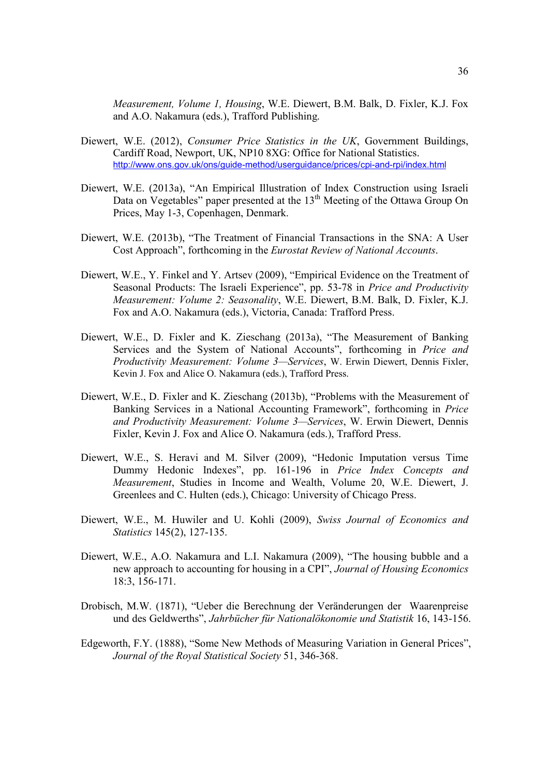*Measurement, Volume 1, Housing*, W.E. Diewert, B.M. Balk, D. Fixler, K.J. Fox and A.O. Nakamura (eds.), Trafford Publishing.

- Diewert, W.E. (2012), *Consumer Price Statistics in the UK*, Government Buildings, Cardiff Road, Newport, UK, NP10 8XG: Office for National Statistics. http://www.ons.gov.uk/ons/guide-method/userguidance/prices/cpi-and-rpi/index.html
- Diewert, W.E. (2013a), "An Empirical Illustration of Index Construction using Israeli Data on Vegetables" paper presented at the 13<sup>th</sup> Meeting of the Ottawa Group On Prices, May 1-3, Copenhagen, Denmark.
- Diewert, W.E. (2013b), "The Treatment of Financial Transactions in the SNA: A User Cost Approach", forthcoming in the *Eurostat Review of National Accounts*.
- Diewert, W.E., Y. Finkel and Y. Artsev (2009), "Empirical Evidence on the Treatment of Seasonal Products: The Israeli Experience", pp. 53-78 in *Price and Productivity Measurement: Volume 2: Seasonality*, W.E. Diewert, B.M. Balk, D. Fixler, K.J. Fox and A.O. Nakamura (eds.), Victoria, Canada: Trafford Press.
- Diewert, W.E., D. Fixler and K. Zieschang (2013a), "The Measurement of Banking Services and the System of National Accounts", forthcoming in *Price and Productivity Measurement: Volume 3—Services*, W. Erwin Diewert, Dennis Fixler, Kevin J. Fox and Alice O. Nakamura (eds.), Trafford Press.
- Diewert, W.E., D. Fixler and K. Zieschang (2013b), "Problems with the Measurement of Banking Services in a National Accounting Framework", forthcoming in *Price and Productivity Measurement: Volume 3—Services*, W. Erwin Diewert, Dennis Fixler, Kevin J. Fox and Alice O. Nakamura (eds.), Trafford Press.
- Diewert, W.E., S. Heravi and M. Silver (2009), "Hedonic Imputation versus Time Dummy Hedonic Indexes", pp. 161-196 in *Price Index Concepts and Measurement*, Studies in Income and Wealth, Volume 20, W.E. Diewert, J. Greenlees and C. Hulten (eds.), Chicago: University of Chicago Press.
- Diewert, W.E., M. Huwiler and U. Kohli (2009), *Swiss Journal of Economics and Statistics* 145(2), 127-135.
- Diewert, W.E., A.O. Nakamura and L.I. Nakamura (2009), "The housing bubble and a new approach to accounting for housing in a CPI", *Journal of Housing Economics* 18:3, 156-171.
- Drobisch, M.W. (1871), "Ueber die Berechnung der Veränderungen der Waarenpreise und des Geldwerths", *Jahrbücher für Nationalökonomie und Statistik* 16, 143-156.
- Edgeworth, F.Y. (1888), "Some New Methods of Measuring Variation in General Prices", *Journal of the Royal Statistical Society* 51, 346-368.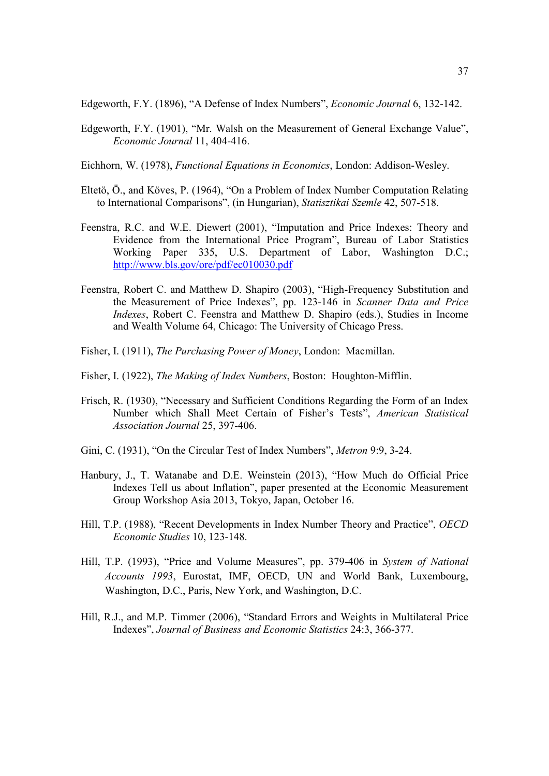Edgeworth, F.Y. (1896), "A Defense of Index Numbers", *Economic Journal* 6, 132-142.

Edgeworth, F.Y. (1901), "Mr. Walsh on the Measurement of General Exchange Value", *Economic Journal* 11, 404-416.

Eichhorn, W. (1978), *Functional Equations in Economics*, London: Addison-Wesley.

- Eltetö, Ö., and Köves, P. (1964), "On a Problem of Index Number Computation Relating to International Comparisons", (in Hungarian), *Statisztikai Szemle* 42, 507-518.
- Feenstra, R.C. and W.E. Diewert (2001), "Imputation and Price Indexes: Theory and Evidence from the International Price Program", Bureau of Labor Statistics Working Paper 335, U.S. Department of Labor, Washington D.C.; http://www.bls.gov/ore/pdf/ec010030.pdf
- Feenstra, Robert C. and Matthew D. Shapiro (2003), "High-Frequency Substitution and the Measurement of Price Indexes", pp. 123-146 in *Scanner Data and Price Indexes*, Robert C. Feenstra and Matthew D. Shapiro (eds.), Studies in Income and Wealth Volume 64, Chicago: The University of Chicago Press.
- Fisher, I. (1911), *The Purchasing Power of Money*, London: Macmillan.
- Fisher, I. (1922), *The Making of Index Numbers*, Boston: Houghton-Mifflin.
- Frisch, R. (1930), "Necessary and Sufficient Conditions Regarding the Form of an Index Number which Shall Meet Certain of Fisher's Tests", *American Statistical Association Journal* 25, 397-406.
- Gini, C. (1931), "On the Circular Test of Index Numbers", *Metron* 9:9, 3-24.
- Hanbury, J., T. Watanabe and D.E. Weinstein (2013), "How Much do Official Price Indexes Tell us about Inflation", paper presented at the Economic Measurement Group Workshop Asia 2013, Tokyo, Japan, October 16.
- Hill, T.P. (1988), "Recent Developments in Index Number Theory and Practice", *OECD Economic Studies* 10, 123-148.
- Hill, T.P. (1993), "Price and Volume Measures", pp. 379-406 in *System of National Accounts 1993*, Eurostat, IMF, OECD, UN and World Bank, Luxembourg, Washington, D.C., Paris, New York, and Washington, D.C.
- Hill, R.J., and M.P. Timmer (2006), "Standard Errors and Weights in Multilateral Price Indexes", *Journal of Business and Economic Statistics* 24:3, 366-377.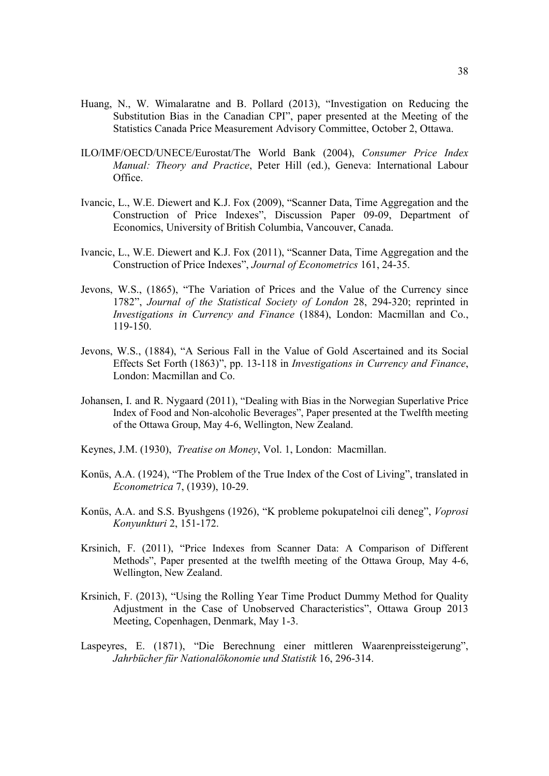- Huang, N., W. Wimalaratne and B. Pollard (2013), "Investigation on Reducing the Substitution Bias in the Canadian CPI", paper presented at the Meeting of the Statistics Canada Price Measurement Advisory Committee, October 2, Ottawa.
- ILO/IMF/OECD/UNECE/Eurostat/The World Bank (2004), *Consumer Price Index Manual: Theory and Practice*, Peter Hill (ed.), Geneva: International Labour Office.
- Ivancic, L., W.E. Diewert and K.J. Fox (2009), "Scanner Data, Time Aggregation and the Construction of Price Indexes", Discussion Paper 09-09, Department of Economics, University of British Columbia, Vancouver, Canada.
- Ivancic, L., W.E. Diewert and K.J. Fox (2011), "Scanner Data, Time Aggregation and the Construction of Price Indexes", *Journal of Econometrics* 161, 24-35.
- Jevons, W.S., (1865), "The Variation of Prices and the Value of the Currency since 1782", *Journal of the Statistical Society of London* 28, 294-320; reprinted in *Investigations in Currency and Finance* (1884), London: Macmillan and Co., 119-150.
- Jevons, W.S., (1884), "A Serious Fall in the Value of Gold Ascertained and its Social Effects Set Forth (1863)", pp. 13-118 in *Investigations in Currency and Finance*, London: Macmillan and Co.
- Johansen, I. and R. Nygaard (2011), "Dealing with Bias in the Norwegian Superlative Price Index of Food and Non-alcoholic Beverages", Paper presented at the Twelfth meeting of the Ottawa Group, May 4-6, Wellington, New Zealand.
- Keynes, J.M. (1930), *Treatise on Money*, Vol. 1, London: Macmillan.
- Konüs, A.A. (1924), "The Problem of the True Index of the Cost of Living", translated in *Econometrica* 7, (1939), 10-29.
- Konüs, A.A. and S.S. Byushgens (1926), "K probleme pokupatelnoi cili deneg", *Voprosi Konyunkturi* 2, 151-172.
- Krsinich, F. (2011), "Price Indexes from Scanner Data: A Comparison of Different Methods", Paper presented at the twelfth meeting of the Ottawa Group, May 4-6, Wellington, New Zealand.
- Krsinich, F. (2013), "Using the Rolling Year Time Product Dummy Method for Quality Adjustment in the Case of Unobserved Characteristics", Ottawa Group 2013 Meeting, Copenhagen, Denmark, May 1-3.
- Laspeyres, E. (1871), "Die Berechnung einer mittleren Waarenpreissteigerung", *Jahrbücher für Nationalökonomie und Statistik* 16, 296-314.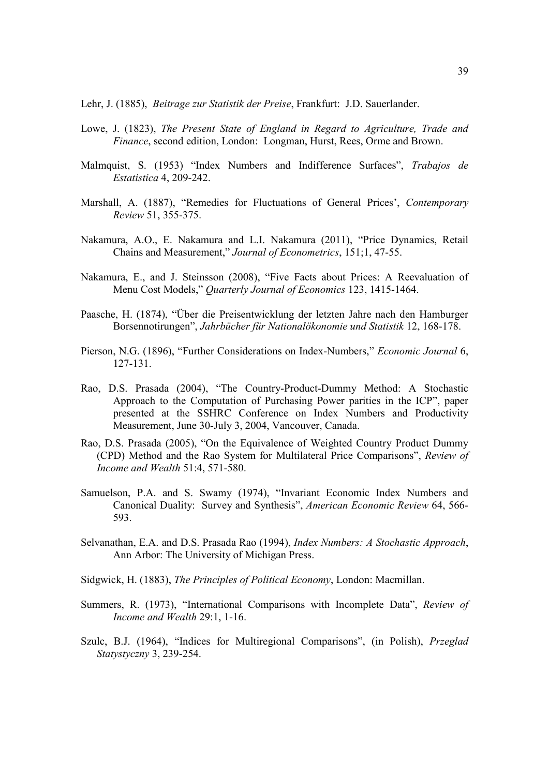Lehr, J. (1885), *Beitrage zur Statistik der Preise*, Frankfurt: J.D. Sauerlander.

- Lowe, J. (1823), *The Present State of England in Regard to Agriculture, Trade and Finance*, second edition, London: Longman, Hurst, Rees, Orme and Brown.
- Malmquist, S. (1953) "Index Numbers and Indifference Surfaces", *Trabajos de Estatistica* 4, 209-242.
- Marshall, A. (1887), "Remedies for Fluctuations of General Prices', *Contemporary Review* 51, 355-375.
- Nakamura, A.O., E. Nakamura and L.I. Nakamura (2011), "Price Dynamics, Retail Chains and Measurement," *Journal of Econometrics*, 151;1, 47-55.
- Nakamura, E., and J. Steinsson (2008), "Five Facts about Prices: A Reevaluation of Menu Cost Models," *Quarterly Journal of Economics* 123, 1415-1464.
- Paasche, H. (1874), "Über die Preisentwicklung der letzten Jahre nach den Hamburger Borsennotirungen", *Jahrbücher für Nationalökonomie und Statistik* 12, 168-178.
- Pierson, N.G. (1896), "Further Considerations on Index-Numbers," *Economic Journal* 6, 127-131.
- Rao, D.S. Prasada (2004), "The Country-Product-Dummy Method: A Stochastic Approach to the Computation of Purchasing Power parities in the ICP", paper presented at the SSHRC Conference on Index Numbers and Productivity Measurement, June 30-July 3, 2004, Vancouver, Canada.
- Rao, D.S. Prasada (2005), "On the Equivalence of Weighted Country Product Dummy (CPD) Method and the Rao System for Multilateral Price Comparisons", *Review of Income and Wealth* 51:4, 571-580.
- Samuelson, P.A. and S. Swamy (1974), "Invariant Economic Index Numbers and Canonical Duality: Survey and Synthesis", *American Economic Review* 64, 566- 593.
- Selvanathan, E.A. and D.S. Prasada Rao (1994), *Index Numbers: A Stochastic Approach*, Ann Arbor: The University of Michigan Press.
- Sidgwick, H. (1883), *The Principles of Political Economy*, London: Macmillan.
- Summers, R. (1973), "International Comparisons with Incomplete Data", *Review of Income and Wealth* 29:1, 1-16.
- Szulc, B.J. (1964), "Indices for Multiregional Comparisons", (in Polish), *Przeglad Statystyczny* 3, 239-254.